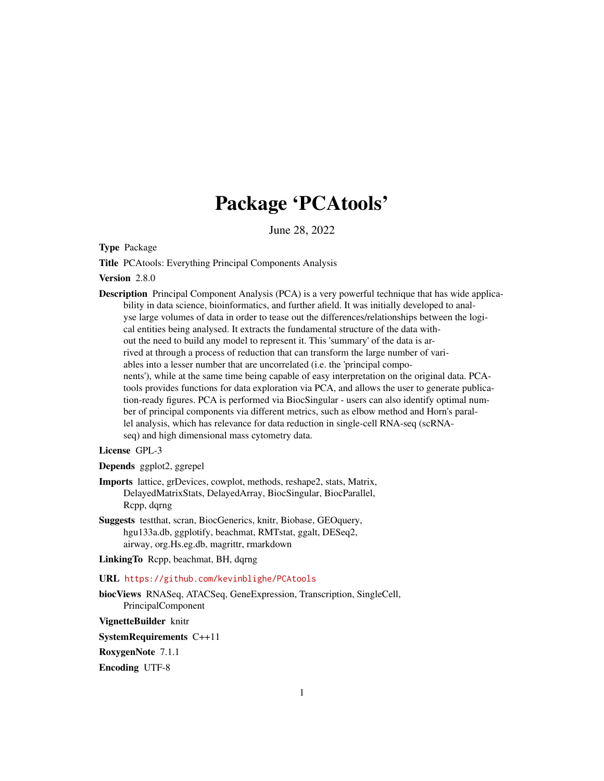# Package 'PCAtools'

June 28, 2022

<span id="page-0-0"></span>Type Package

Title PCAtools: Everything Principal Components Analysis

Version 2.8.0

Description Principal Component Analysis (PCA) is a very powerful technique that has wide applicability in data science, bioinformatics, and further afield. It was initially developed to analyse large volumes of data in order to tease out the differences/relationships between the logical entities being analysed. It extracts the fundamental structure of the data without the need to build any model to represent it. This 'summary' of the data is arrived at through a process of reduction that can transform the large number of variables into a lesser number that are uncorrelated (i.e. the 'principal components'), while at the same time being capable of easy interpretation on the original data. PCAtools provides functions for data exploration via PCA, and allows the user to generate publication-ready figures. PCA is performed via BiocSingular - users can also identify optimal number of principal components via different metrics, such as elbow method and Horn's parallel analysis, which has relevance for data reduction in single-cell RNA-seq (scRNAseq) and high dimensional mass cytometry data.

# License GPL-3

Depends ggplot2, ggrepel

- Imports lattice, grDevices, cowplot, methods, reshape2, stats, Matrix, DelayedMatrixStats, DelayedArray, BiocSingular, BiocParallel, Rcpp, dqrng
- Suggests testthat, scran, BiocGenerics, knitr, Biobase, GEOquery, hgu133a.db, ggplotify, beachmat, RMTstat, ggalt, DESeq2, airway, org.Hs.eg.db, magrittr, rmarkdown
- LinkingTo Rcpp, beachmat, BH, dqrng

URL <https://github.com/kevinblighe/PCAtools>

biocViews RNASeq, ATACSeq, GeneExpression, Transcription, SingleCell, PrincipalComponent

VignetteBuilder knitr

SystemRequirements C++11

RoxygenNote 7.1.1

Encoding UTF-8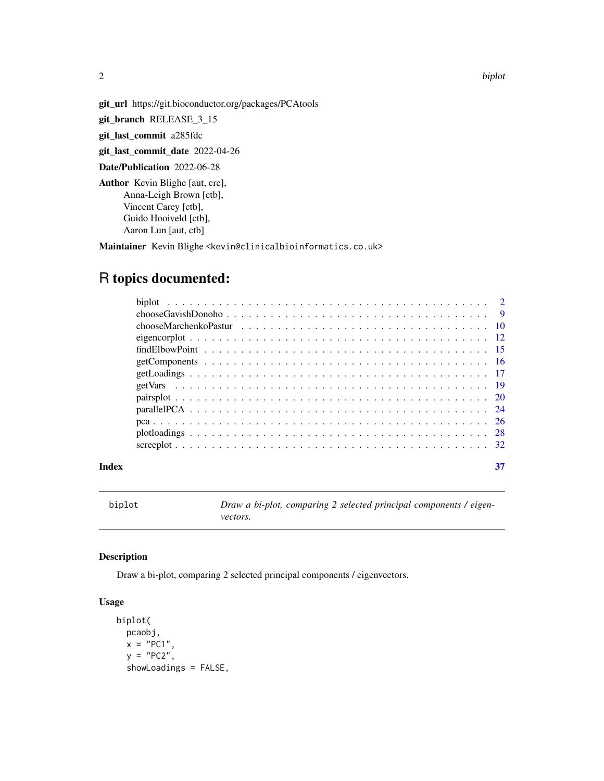2 biplot

<span id="page-1-0"></span>

git\_url https://git.bioconductor.org/packages/PCAtools

git\_branch RELEASE\_3\_15

git\_last\_commit a285fdc

git\_last\_commit\_date 2022-04-26

Date/Publication 2022-06-28

Author Kevin Blighe [aut, cre], Anna-Leigh Brown [ctb], Vincent Carey [ctb], Guido Hooiveld [ctb], Aaron Lun [aut, ctb]

Maintainer Kevin Blighe <kevin@clinicalbioinformatics.co.uk>

# R topics documented:

| Index |  |
|-------|--|

biplot *Draw a bi-plot, comparing 2 selected principal components / eigenvectors.*

# Description

Draw a bi-plot, comparing 2 selected principal components / eigenvectors.

```
biplot(
 pcaobj,
 x = "PC1",y = "PC2",showLoadings = FALSE,
```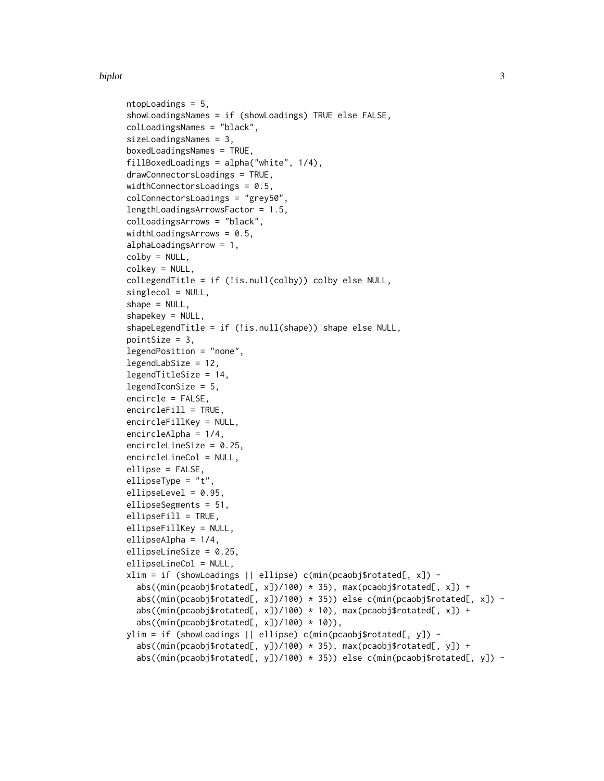#### biplot 3

```
ntopLoadings = 5,
showLoadingsNames = if (showLoadings) TRUE else FALSE,
colLoadingsNames = "black",
sizeLoadingsNames = 3,
boxedLoadingsNames = TRUE,
fillBoxedLoadings = alpha("white", 1/4),
drawConnectorsLoadings = TRUE,
widthConnectorsLoadings = 0.5,
colConnectorsLoadings = "grey50",
lengthLoadingsArrowsFactor = 1.5,
colLoadingsArrows = "black",
widthLoadingsArrows = 0.5,
alphaLoadingsArrow = 1,
\text{colby} = \text{NULL},
colkey = NULL,
colLegendTitle = if (!is.null(colby)) colby else NULL,
singlecol = NULL,
shape = NULL,
shapekey = NULL,
shapeLegendTitle = if (!is.null(shape)) shape else NULL,
pointSize = 3,
legendPosition = "none",
legendLabSize = 12,
legendTitleSize = 14,
legendIconSize = 5,
encircle = FALSE,
encircleFill = TRUE,
encircleFillKey = NULL,
encircleAlpha = 1/4,
encircleLineSize = 0.25,
encircleLineCol = NULL,
ellipse = FALSE,
ellipseType = "t",
ellipseLevel = 0.95,
ellipseSegments = 51,
ellipseFill = TRUE,
ellipseFillKey = NULL,
ellipseAlpha = 1/4,
ellipseLineSize = 0.25,
ellipseLineCol = NULL,
xlim = if (showLoadings || ellipse) c(min(pcaobj$rotated[, x]) -
  abs((min(pcaobj$rotated[, x])/100) * 35), max(pcaobj$rotated[, x]) +
  abs((min(pcaobj$rotated[, x])/100) * 35)) else c(min(pcaobj$rotated[, x]) -
  abs((min(pcaobj$rotated[, x])/100) * 10), max(pcaobj$rotated[, x]) +
  abs((min(pcaobj$rotated[, x])/100) * 10)),
ylim = if (showLoadings || ellipse) c(min(pcaobj$rotated[, y]) -
  abs((min(pcaobj$rotated[, y])/100) * 35), max(pcaobj$rotated[, y]) +
  abs((min(pcaobj$rotated[, y])/100) * 35)) else c(min(pcaobj$rotated[, y]) -
```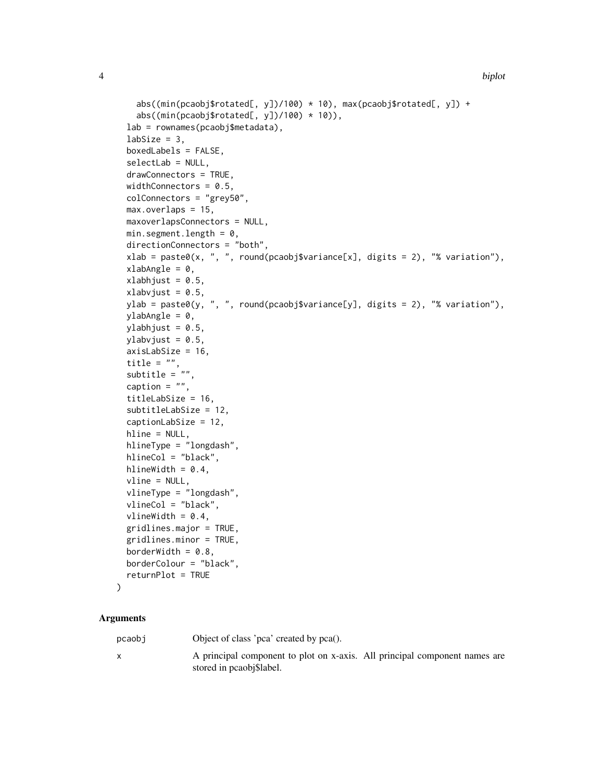```
abs((min(pcaobj$rotated[, y])/100) * 10), max(pcaobj$rotated[, y]) +
  abs((\min(\text{pcaobj$rotated[, y]/100) * 10)),
lab = rownames(pcaobj$metadata),
labSize = 3,
boxedLabels = FALSE,
selectLab = NULL,
drawConnectors = TRUE,
widthConnectors = 0.5,
colConnectors = "grey50",
max.overlaps = 15,
maxoverlapsConnectors = NULL,
min.segment.length = 0,
directionConnectors = "both",
xlab = paste0(x, ", ", round(pcaobj\$variance[x], digits = 2),<br>
"% variation"),xlabAngle = 0,
xlabhjust = 0.5,
xlabvjust = 0.5,
ylab = paste0(y, ", ", round(pcaobj$variance[y], digits = 2), "% variation"),
ylabAngle = 0,
vlabhjust = 0.5,
ylabvjust = 0.5,
axisLabSize = 16,
title = "",
subtitle = "caption = ",
titleLabSize = 16,
subtitleLabSize = 12,
captionLabSize = 12,
hline = NULL,
hlineType = "longdash",
hlineCol = "black",
hlineWidth = 0.4,
vline = NULL,vlineType = "longdash",
vlineCol = "black",
vlineWidth = 0.4,
gridlines.major = TRUE,
gridlines.minor = TRUE,
borderWidth = 0.8,
borderColour = "black",
returnPlot = TRUE
```
#### Arguments

 $\lambda$ 

pcaobj Object of class 'pca' created by pca().

x A principal component to plot on x-axis. All principal component names are stored in pcaobj\$label.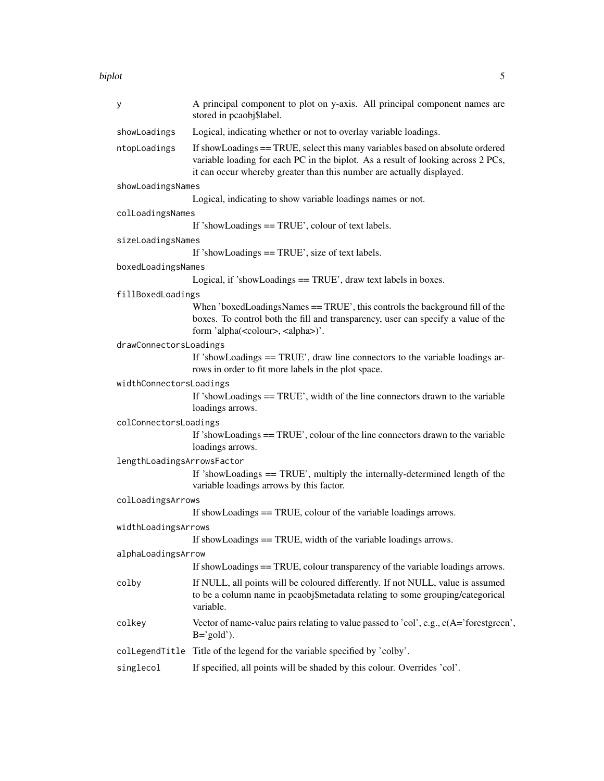biplot 5

| у                          | A principal component to plot on y-axis. All principal component names are<br>stored in pcaobj\$label.                                                                                                                                     |
|----------------------------|--------------------------------------------------------------------------------------------------------------------------------------------------------------------------------------------------------------------------------------------|
| showLoadings               | Logical, indicating whether or not to overlay variable loadings.                                                                                                                                                                           |
| ntopLoadings               | If showLoadings == TRUE, select this many variables based on absolute ordered<br>variable loading for each PC in the biplot. As a result of looking across 2 PCs,<br>it can occur whereby greater than this number are actually displayed. |
| showLoadingsNames          |                                                                                                                                                                                                                                            |
|                            | Logical, indicating to show variable loadings names or not.                                                                                                                                                                                |
| colLoadingsNames           |                                                                                                                                                                                                                                            |
|                            | If 'showLoadings $==$ TRUE', colour of text labels.                                                                                                                                                                                        |
| sizeLoadingsNames          |                                                                                                                                                                                                                                            |
|                            | If 'showLoadings == TRUE', size of text labels.                                                                                                                                                                                            |
| boxedLoadingsNames         |                                                                                                                                                                                                                                            |
|                            | Logical, if 'showLoadings == TRUE', draw text labels in boxes.                                                                                                                                                                             |
| fillBoxedLoadings          |                                                                                                                                                                                                                                            |
|                            | When 'boxedLoadingsNames == TRUE', this controls the background fill of the<br>boxes. To control both the fill and transparency, user can specify a value of the<br>form 'alpha( <colour>, <alpha>)'.</alpha></colour>                     |
| drawConnectorsLoadings     |                                                                                                                                                                                                                                            |
|                            | If 'showLoadings == TRUE', draw line connectors to the variable loadings ar-<br>rows in order to fit more labels in the plot space.                                                                                                        |
| widthConnectorsLoadings    |                                                                                                                                                                                                                                            |
|                            | If 'showLoadings == TRUE', width of the line connectors drawn to the variable<br>loadings arrows.                                                                                                                                          |
| colConnectorsLoadings      |                                                                                                                                                                                                                                            |
|                            | If 'showLoadings == TRUE', colour of the line connectors drawn to the variable<br>loadings arrows.                                                                                                                                         |
| lengthLoadingsArrowsFactor |                                                                                                                                                                                                                                            |
|                            | If 'showLoadings = TRUE', multiply the internally-determined length of the<br>variable loadings arrows by this factor.                                                                                                                     |
| colLoadingsArrows          |                                                                                                                                                                                                                                            |
|                            | If showLoadings $==$ TRUE, colour of the variable loadings arrows.                                                                                                                                                                         |
| widthLoadingsArrows        | If showLoadings $==$ TRUE, width of the variable loadings arrows.                                                                                                                                                                          |
| alphaLoadingsArrow         |                                                                                                                                                                                                                                            |
|                            | If showLoadings == TRUE, colour transparency of the variable loadings arrows.                                                                                                                                                              |
| colby                      | If NULL, all points will be coloured differently. If not NULL, value is assumed<br>to be a column name in pcaobj\$metadata relating to some grouping/categorical<br>variable.                                                              |
| colkey                     | Vector of name-value pairs relating to value passed to 'col', e.g., c(A='forestgreen',<br>$B = 'gold'.$                                                                                                                                    |
|                            | collegendTitle Title of the legend for the variable specified by 'colby'.                                                                                                                                                                  |
| singlecol                  | If specified, all points will be shaded by this colour. Overrides 'col'.                                                                                                                                                                   |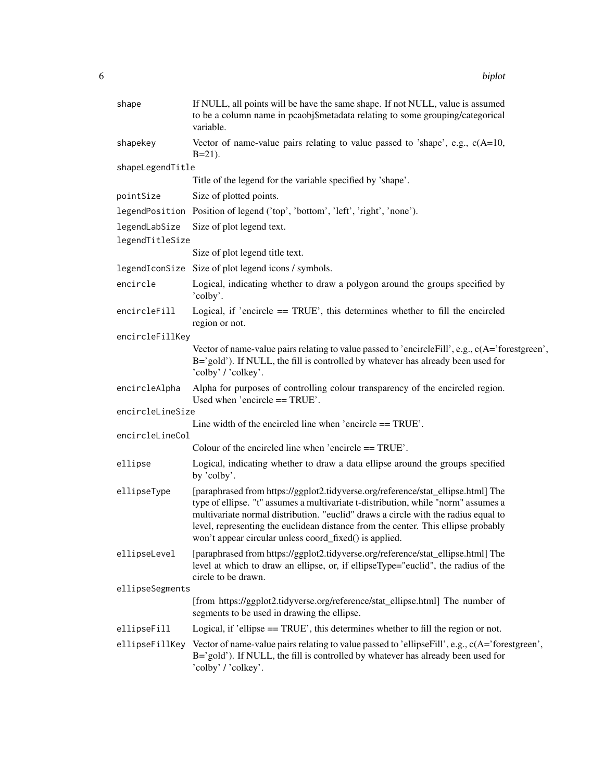| shape                            | If NULL, all points will be have the same shape. If not NULL, value is assumed<br>to be a column name in pcaobj\$metadata relating to some grouping/categorical<br>variable.                                                                                                                                                                                                                                |
|----------------------------------|-------------------------------------------------------------------------------------------------------------------------------------------------------------------------------------------------------------------------------------------------------------------------------------------------------------------------------------------------------------------------------------------------------------|
| shapekey                         | Vector of name-value pairs relating to value passed to 'shape', e.g., $c(A=10,$<br>$B=21$ ).                                                                                                                                                                                                                                                                                                                |
| shapeLegendTitle                 |                                                                                                                                                                                                                                                                                                                                                                                                             |
|                                  | Title of the legend for the variable specified by 'shape'.                                                                                                                                                                                                                                                                                                                                                  |
| pointSize                        | Size of plotted points.                                                                                                                                                                                                                                                                                                                                                                                     |
|                                  | legendPosition Position of legend ('top', 'bottom', 'left', 'right', 'none').                                                                                                                                                                                                                                                                                                                               |
| legendLabSize<br>legendTitleSize | Size of plot legend text.                                                                                                                                                                                                                                                                                                                                                                                   |
|                                  | Size of plot legend title text.                                                                                                                                                                                                                                                                                                                                                                             |
|                                  | legendIconSize Size of plot legend icons / symbols.                                                                                                                                                                                                                                                                                                                                                         |
| encircle                         | Logical, indicating whether to draw a polygon around the groups specified by<br>'colby'.                                                                                                                                                                                                                                                                                                                    |
| encircleFill                     | Logical, if 'encircle $==$ TRUE', this determines whether to fill the encircled<br>region or not.                                                                                                                                                                                                                                                                                                           |
| encircleFillKey                  |                                                                                                                                                                                                                                                                                                                                                                                                             |
|                                  | Vector of name-value pairs relating to value passed to 'encircle Fill', e.g., $c(A=')$ forestgreen',<br>B='gold'). If NULL, the fill is controlled by whatever has already been used for<br>'colby' / 'colkey'.                                                                                                                                                                                             |
| encircleAlpha                    | Alpha for purposes of controlling colour transparency of the encircled region.<br>Used when 'encircle $==$ TRUE'.                                                                                                                                                                                                                                                                                           |
| encircleLineSize                 |                                                                                                                                                                                                                                                                                                                                                                                                             |
| encircleLineCol                  | Line width of the encircled line when 'encircle $==$ TRUE'.                                                                                                                                                                                                                                                                                                                                                 |
|                                  | Colour of the encircled line when 'encircle $==$ TRUE'.                                                                                                                                                                                                                                                                                                                                                     |
| ellipse                          | Logical, indicating whether to draw a data ellipse around the groups specified<br>by 'colby'.                                                                                                                                                                                                                                                                                                               |
| ellipseType                      | [paraphrased from https://ggplot2.tidyverse.org/reference/stat_ellipse.html] The<br>type of ellipse. "t" assumes a multivariate t-distribution, while "norm" assumes a<br>multivariate normal distribution. "euclid" draws a circle with the radius equal to<br>level, representing the euclidean distance from the center. This ellipse probably<br>won't appear circular unless coord_fixed() is applied. |
| ellipseLevel                     | [paraphrased from https://ggplot2.tidyverse.org/reference/stat_ellipse.html] The<br>level at which to draw an ellipse, or, if ellipseType="euclid", the radius of the<br>circle to be drawn.                                                                                                                                                                                                                |
| ellipseSegments                  |                                                                                                                                                                                                                                                                                                                                                                                                             |
|                                  | [from https://ggplot2.tidyverse.org/reference/stat_ellipse.html] The number of<br>segments to be used in drawing the ellipse.                                                                                                                                                                                                                                                                               |
| ellipseFill                      | Logical, if 'ellipse == TRUE', this determines whether to fill the region or not.                                                                                                                                                                                                                                                                                                                           |
| ellipseFillKey                   | Vector of name-value pairs relating to value passed to 'ellipseFill', e.g., c(A='forestgreen',<br>B='gold'). If NULL, the fill is controlled by whatever has already been used for<br>'colby' / 'colkey'.                                                                                                                                                                                                   |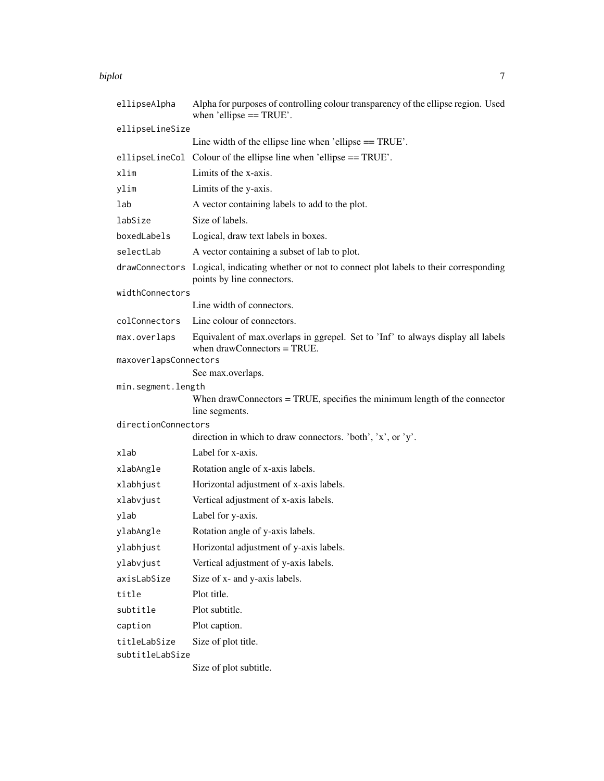#### biplot the contract of the contract of the contract of the contract of the contract of the contract of the contract of the contract of the contract of the contract of the contract of the contract of the contract of the con

| ellipseAlpha          | Alpha for purposes of controlling colour transparency of the ellipse region. Used<br>when 'ellipse $==$ TRUE'.                |
|-----------------------|-------------------------------------------------------------------------------------------------------------------------------|
| ellipseLineSize       |                                                                                                                               |
|                       | Line width of the ellipse line when 'ellipse == TRUE'.                                                                        |
|                       | ellipseLineCol Colour of the ellipse line when 'ellipse == TRUE'.                                                             |
| xlim                  | Limits of the x-axis.                                                                                                         |
| ylim                  | Limits of the y-axis.                                                                                                         |
| lab                   | A vector containing labels to add to the plot.                                                                                |
| labSize               | Size of labels.                                                                                                               |
| boxedLabels           | Logical, draw text labels in boxes.                                                                                           |
| selectLab             | A vector containing a subset of lab to plot.                                                                                  |
|                       | drawConnectors Logical, indicating whether or not to connect plot labels to their corresponding<br>points by line connectors. |
| widthConnectors       |                                                                                                                               |
|                       | Line width of connectors.                                                                                                     |
| colConnectors         | Line colour of connectors.                                                                                                    |
| max.overlaps          | Equivalent of max.overlaps in ggrepel. Set to 'Inf' to always display all labels<br>when $drawConnectors = TRUE$ .            |
| maxoverlapsConnectors |                                                                                                                               |
| min.segment.length    | See max.overlaps.                                                                                                             |
|                       | When drawConnectors = TRUE, specifies the minimum length of the connector<br>line segments.                                   |
| directionConnectors   |                                                                                                                               |
|                       | direction in which to draw connectors. 'both', 'x', or 'y'.                                                                   |
| xlab                  | Label for x-axis.                                                                                                             |
| xlabAngle             | Rotation angle of x-axis labels.                                                                                              |
| xlabhjust             | Horizontal adjustment of x-axis labels.                                                                                       |
| xlabvjust             | Vertical adjustment of x-axis labels.                                                                                         |
| ylab                  | Label for y-axis.                                                                                                             |
| ylabAngle             | Rotation angle of y-axis labels.                                                                                              |
| ylabhjust             | Horizontal adjustment of y-axis labels.                                                                                       |
| ylabvjust             | Vertical adjustment of y-axis labels.                                                                                         |
| axisLabSize           | Size of x- and y-axis labels.                                                                                                 |
| title                 | Plot title.                                                                                                                   |
| subtitle              | Plot subtitle.                                                                                                                |
| caption               | Plot caption.                                                                                                                 |
| titleLabSize          | Size of plot title.                                                                                                           |
| subtitleLabSize       |                                                                                                                               |
|                       | Size of plot subtitle.                                                                                                        |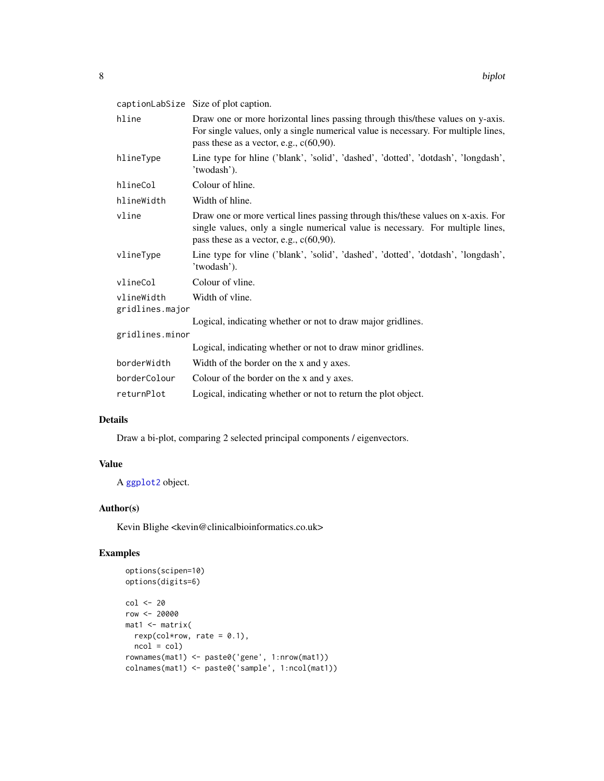<span id="page-7-0"></span>

|                               | captionLabSize Size of plot caption.                                                                                                                                                                               |
|-------------------------------|--------------------------------------------------------------------------------------------------------------------------------------------------------------------------------------------------------------------|
| hline                         | Draw one or more horizontal lines passing through this/these values on y-axis.<br>For single values, only a single numerical value is necessary. For multiple lines,<br>pass these as a vector, e.g., $c(60,90)$ . |
| hlineType                     | Line type for hline ('blank', 'solid', 'dashed', 'dotted', 'dotdash', 'longdash',<br>'twodash').                                                                                                                   |
| hlineCol                      | Colour of hline.                                                                                                                                                                                                   |
| hlineWidth                    | Width of hline.                                                                                                                                                                                                    |
| vline                         | Draw one or more vertical lines passing through this/these values on x-axis. For<br>single values, only a single numerical value is necessary. For multiple lines,<br>pass these as a vector, e.g., $c(60,90)$ .   |
| vlineType                     | Line type for vline ('blank', 'solid', 'dashed', 'dotted', 'dotdash', 'longdash',<br>'twodash').                                                                                                                   |
| vlineCol                      | Colour of vline.                                                                                                                                                                                                   |
| vlineWidth<br>gridlines.major | Width of vline.                                                                                                                                                                                                    |
|                               | Logical, indicating whether or not to draw major gridlines.                                                                                                                                                        |
| gridlines.minor               |                                                                                                                                                                                                                    |
|                               | Logical, indicating whether or not to draw minor gridlines.                                                                                                                                                        |
| borderWidth                   | Width of the border on the x and y axes.                                                                                                                                                                           |
| borderColour                  | Colour of the border on the x and y axes.                                                                                                                                                                          |
| returnPlot                    | Logical, indicating whether or not to return the plot object.                                                                                                                                                      |

#### Details

Draw a bi-plot, comparing 2 selected principal components / eigenvectors.

# Value

A [ggplot2](#page-0-0) object.

# Author(s)

Kevin Blighe <kevin@clinicalbioinformatics.co.uk>

```
options(scipen=10)
options(digits=6)
col <- 20
row <- 20000
mat1 <- matrix(
 rexp(col*row, rate = 0.1),
 ncol = colrownames(mat1) <- paste0('gene', 1:nrow(mat1))
colnames(mat1) <- paste0('sample', 1:ncol(mat1))
```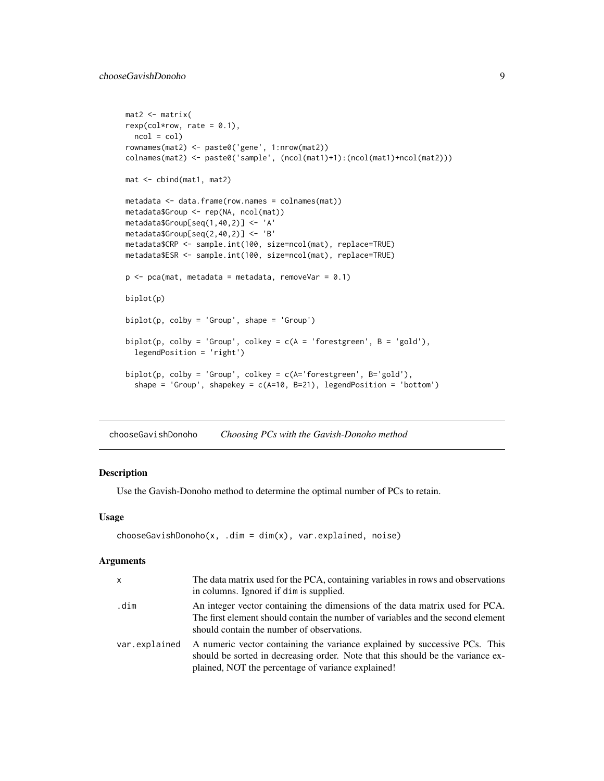```
mat2 <- matrix(
rexp(col*row, rate = 0.1),ncol = colrownames(mat2) <- paste0('gene', 1:nrow(mat2))
colnames(mat2) <- paste0('sample', (ncol(mat1)+1):(ncol(mat1)+ncol(mat2)))
mat <- cbind(mat1, mat2)
metadata <- data.frame(row.names = colnames(mat))
metadata$Group <- rep(NA, ncol(mat))
metadata$Group[seq(1,40,2)] <- 'A'
metadata$Group[seq(2,40,2)] <- 'B'
metadata$CRP <- sample.int(100, size=ncol(mat), replace=TRUE)
metadata$ESR <- sample.int(100, size=ncol(mat), replace=TRUE)
p \leq -pca(mat, metadata = metadata, removeVar = 0.1)biplot(p)
biplot(p, colby = 'Group', shape = 'Group')
biplot(p, colby = 'Group', colkey = c(A = 'forestgreen', B = 'gold'),legendPosition = 'right')
biplot(p, colby = 'Group', colkey = c(A='forestgreen', B='gold'),
  shape = 'Group', shapekey = c(A=10, B=21), legendPosition = 'bottom')
```
<span id="page-8-1"></span>chooseGavishDonoho *Choosing PCs with the Gavish-Donoho method*

# Description

Use the Gavish-Donoho method to determine the optimal number of PCs to retain.

#### Usage

```
chooseGavishDonoho(x, .dim = dim(x), var.explained, noise)
```
#### Arguments

| $\mathsf{x}$  | The data matrix used for the PCA, containing variables in rows and observations<br>in columns. Ignored if dim is supplied.                                                                                          |
|---------------|---------------------------------------------------------------------------------------------------------------------------------------------------------------------------------------------------------------------|
| .dim          | An integer vector containing the dimensions of the data matrix used for PCA.<br>The first element should contain the number of variables and the second element<br>should contain the number of observations.       |
| var.explained | A numeric vector containing the variance explained by successive PCs. This<br>should be sorted in decreasing order. Note that this should be the variance ex-<br>plained, NOT the percentage of variance explained! |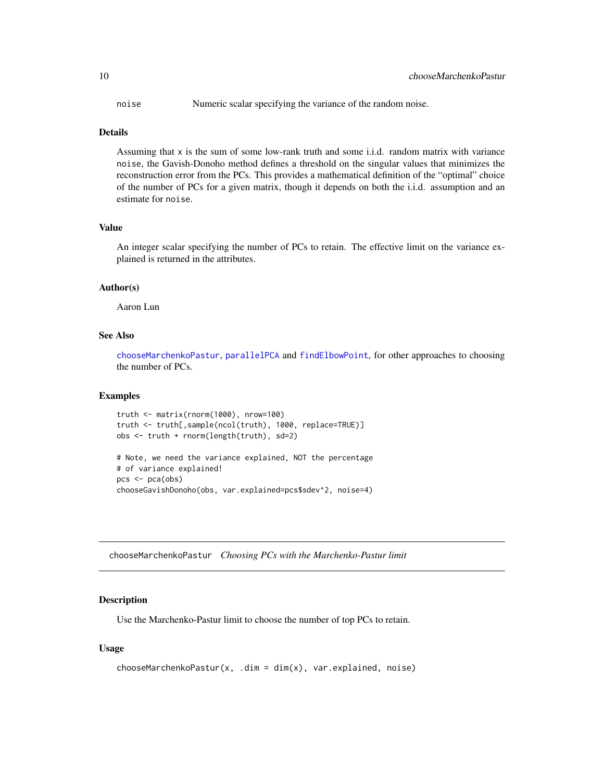<span id="page-9-0"></span>noise Numeric scalar specifying the variance of the random noise.

#### Details

Assuming that  $x$  is the sum of some low-rank truth and some i.i.d. random matrix with variance noise, the Gavish-Donoho method defines a threshold on the singular values that minimizes the reconstruction error from the PCs. This provides a mathematical definition of the "optimal" choice of the number of PCs for a given matrix, though it depends on both the i.i.d. assumption and an estimate for noise.

# Value

An integer scalar specifying the number of PCs to retain. The effective limit on the variance explained is returned in the attributes.

# Author(s)

Aaron Lun

# See Also

[chooseMarchenkoPastur](#page-9-1), [parallelPCA](#page-23-1) and [findElbowPoint](#page-14-1), for other approaches to choosing the number of PCs.

# Examples

```
truth <- matrix(rnorm(1000), nrow=100)
truth <- truth[,sample(ncol(truth), 1000, replace=TRUE)]
obs <- truth + rnorm(length(truth), sd=2)
```

```
# Note, we need the variance explained, NOT the percentage
# of variance explained!
pcs < - pca(obj)chooseGavishDonoho(obs, var.explained=pcs$sdev^2, noise=4)
```
<span id="page-9-1"></span>chooseMarchenkoPastur *Choosing PCs with the Marchenko-Pastur limit*

#### Description

Use the Marchenko-Pastur limit to choose the number of top PCs to retain.

```
chooseMarchenkoPastur(x, .dim = dim(x), var.explained, noise)
```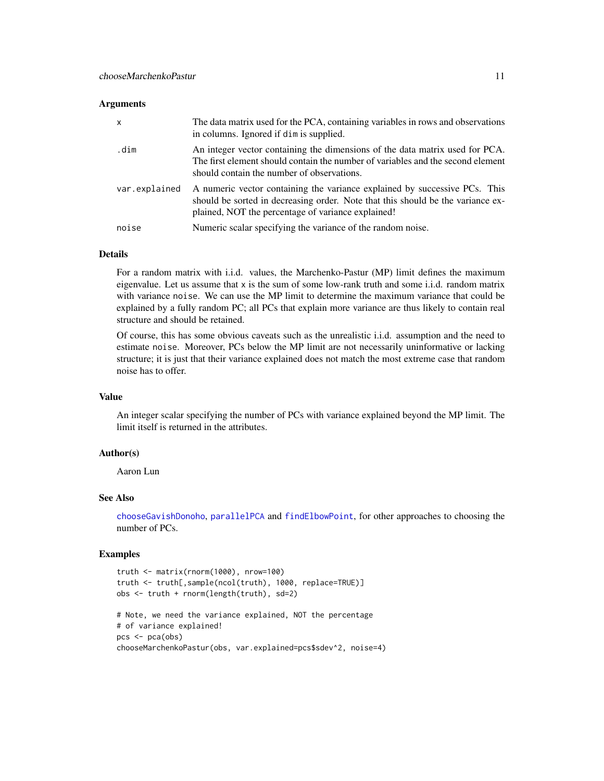#### <span id="page-10-0"></span>**Arguments**

| $\mathsf{x}$  | The data matrix used for the PCA, containing variables in rows and observations<br>in columns. Ignored if dim is supplied.                                                                                          |
|---------------|---------------------------------------------------------------------------------------------------------------------------------------------------------------------------------------------------------------------|
| .dim          | An integer vector containing the dimensions of the data matrix used for PCA.<br>The first element should contain the number of variables and the second element<br>should contain the number of observations.       |
| var.explained | A numeric vector containing the variance explained by successive PCs. This<br>should be sorted in decreasing order. Note that this should be the variance ex-<br>plained, NOT the percentage of variance explained! |
| noise         | Numeric scalar specifying the variance of the random noise.                                                                                                                                                         |

# Details

For a random matrix with i.i.d. values, the Marchenko-Pastur (MP) limit defines the maximum eigenvalue. Let us assume that x is the sum of some low-rank truth and some i.i.d. random matrix with variance noise. We can use the MP limit to determine the maximum variance that could be explained by a fully random PC; all PCs that explain more variance are thus likely to contain real structure and should be retained.

Of course, this has some obvious caveats such as the unrealistic i.i.d. assumption and the need to estimate noise. Moreover, PCs below the MP limit are not necessarily uninformative or lacking structure; it is just that their variance explained does not match the most extreme case that random noise has to offer.

# Value

An integer scalar specifying the number of PCs with variance explained beyond the MP limit. The limit itself is returned in the attributes.

# Author(s)

Aaron Lun

# See Also

[chooseGavishDonoho](#page-8-1), [parallelPCA](#page-23-1) and [findElbowPoint](#page-14-1), for other approaches to choosing the number of PCs.

```
truth <- matrix(rnorm(1000), nrow=100)
truth <- truth[,sample(ncol(truth), 1000, replace=TRUE)]
obs <- truth + rnorm(length(truth), sd=2)
# Note, we need the variance explained, NOT the percentage
# of variance explained!
pcs < - pca(\text{obs})chooseMarchenkoPastur(obs, var.explained=pcs$sdev^2, noise=4)
```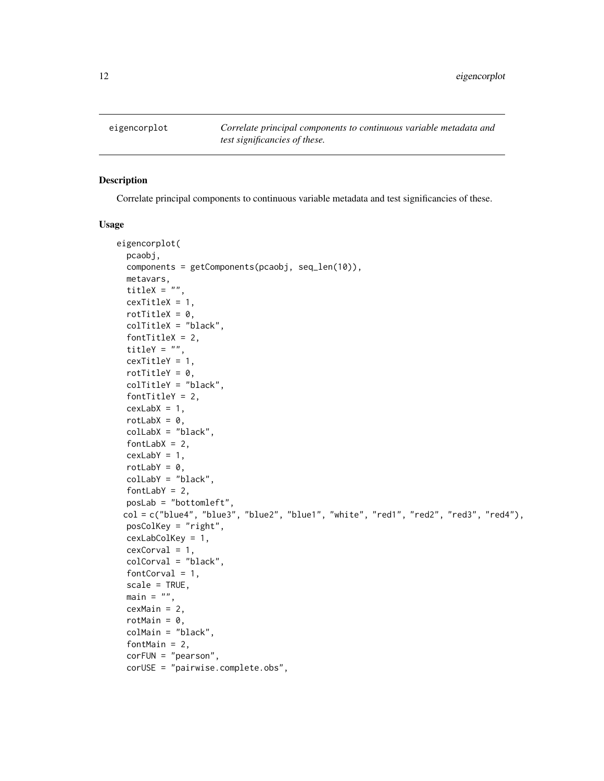<span id="page-11-0"></span>eigencorplot *Correlate principal components to continuous variable metadata and test significancies of these.*

# Description

Correlate principal components to continuous variable metadata and test significancies of these.

```
eigencorplot(
  pcaobj,
  components = getComponents(pcaobj, seq_len(10)),
 metavars,
  titleX = ",
  cexTitleX = 1,
 rotTitleX = 0,
 colTitleX = "black",
  fontTitleX = 2,
  titleY = ",
  cexTitleY = 1,
  rotTitleY = 0,
  colTitleY = "black",
  fontTitleY = 2,
 cexLabX = 1,
  rotLabX = 0,
  colLabX = "black",
  fontLabX = 2,
  cexLabY = 1,
  rotLabY = 0,
  colLabY = "black",
  fontLabY = 2,
 posLab = "bottomleft",
 col = c("blue4", "blue3", "blue2", "blue1", "white", "red1", "red2", "red3", "red4"),posColKey = "right",
 cexLabColKey = 1,
 cexCorval = 1,
  colCorval = "black",
  fontCorval = 1,
  scale = TRUE,
 main = "",cexMain = 2,
  rotMain = 0,
  colMain = "black",
  fontMain = 2,
  corFUN = "pearson",
 corUSE = "pairwise.complete.obs",
```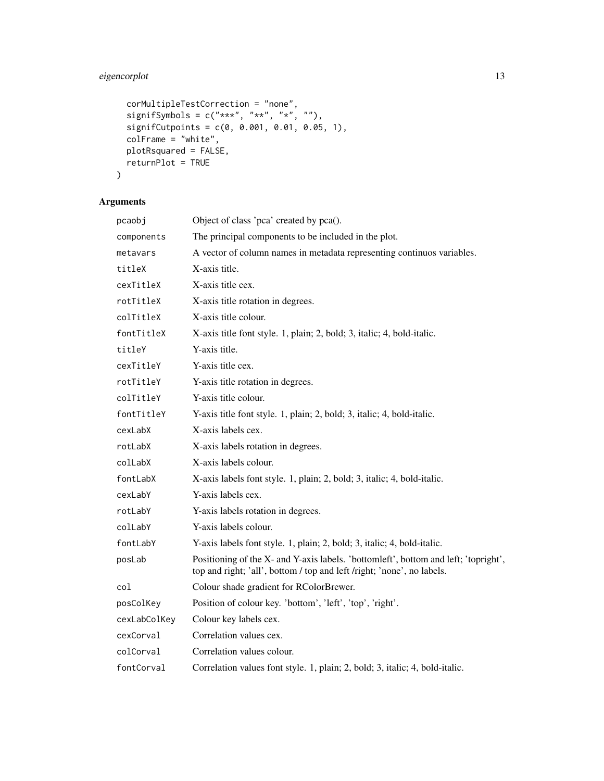# eigencorplot 13

```
corMultipleTestCorrection = "none",
signifSymbols = c("***", "**", "*", "*),
signifCutpoints = c(\theta, 0.001, 0.01, 0.05, 1),
colFrame = "white",
plotRsquared = FALSE,
returnPlot = TRUE
```
# Arguments

 $\mathcal{L}$ 

| pcaobj       | Object of class 'pca' created by pca().                                                                                                                       |
|--------------|---------------------------------------------------------------------------------------------------------------------------------------------------------------|
| components   | The principal components to be included in the plot.                                                                                                          |
| metavars     | A vector of column names in metadata representing continuos variables.                                                                                        |
| titleX       | X-axis title.                                                                                                                                                 |
| cexTitleX    | X-axis title cex.                                                                                                                                             |
| rotTitleX    | X-axis title rotation in degrees.                                                                                                                             |
| colTitleX    | X-axis title colour.                                                                                                                                          |
| fontTitleX   | X-axis title font style. 1, plain; 2, bold; 3, italic; 4, bold-italic.                                                                                        |
| titleY       | Y-axis title.                                                                                                                                                 |
| cexTitleY    | Y-axis title cex.                                                                                                                                             |
| rotTitleY    | Y-axis title rotation in degrees.                                                                                                                             |
| colTitleY    | Y-axis title colour.                                                                                                                                          |
| fontTitleY   | Y-axis title font style. 1, plain; 2, bold; 3, italic; 4, bold-italic.                                                                                        |
| cexLabX      | X-axis labels cex.                                                                                                                                            |
| rotLabX      | X-axis labels rotation in degrees.                                                                                                                            |
| colLabX      | X-axis labels colour.                                                                                                                                         |
| fontLabX     | X-axis labels font style. 1, plain; 2, bold; 3, italic; 4, bold-italic.                                                                                       |
| cexLabY      | Y-axis labels cex.                                                                                                                                            |
| rotLabY      | Y-axis labels rotation in degrees.                                                                                                                            |
| colLabY      | Y-axis labels colour.                                                                                                                                         |
| fontLabY     | Y-axis labels font style. 1, plain; 2, bold; 3, italic; 4, bold-italic.                                                                                       |
| posLab       | Positioning of the X- and Y-axis labels. 'bottomleft', bottom and left; 'topright',<br>top and right; 'all', bottom / top and left /right; 'none', no labels. |
| col          | Colour shade gradient for RColorBrewer.                                                                                                                       |
| posColKey    | Position of colour key. 'bottom', 'left', 'top', 'right'.                                                                                                     |
| cexLabColKey | Colour key labels cex.                                                                                                                                        |
| cexCorval    | Correlation values cex.                                                                                                                                       |
| colCorval    | Correlation values colour.                                                                                                                                    |
| fontCorval   | Correlation values font style. 1, plain; 2, bold; 3, italic; 4, bold-italic.                                                                                  |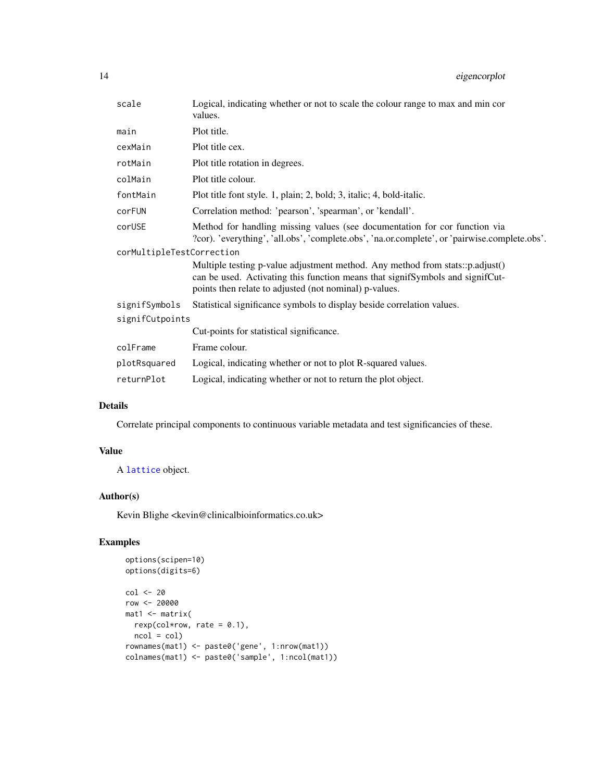<span id="page-13-0"></span>

| scale                     | Logical, indicating whether or not to scale the colour range to max and min cor<br>values.                                                                                                                               |
|---------------------------|--------------------------------------------------------------------------------------------------------------------------------------------------------------------------------------------------------------------------|
| main                      | Plot title.                                                                                                                                                                                                              |
| cexMain                   | Plot title cex.                                                                                                                                                                                                          |
| rotMain                   | Plot title rotation in degrees.                                                                                                                                                                                          |
| colMain                   | Plot title colour.                                                                                                                                                                                                       |
| fontMain                  | Plot title font style. 1, plain; 2, bold; 3, italic; 4, bold-italic.                                                                                                                                                     |
| corFUN                    | Correlation method: 'pearson', 'spearman', or 'kendall'.                                                                                                                                                                 |
| corUSE                    | Method for handling missing values (see documentation for cor function via<br>?cor). 'everything', 'all.obs', 'complete.obs', 'na.or.complete', or 'pairwise.complete.obs'.                                              |
| corMultipleTestCorrection |                                                                                                                                                                                                                          |
|                           | Multiple testing p-value adjustment method. Any method from stats::p.adjust()<br>can be used. Activating this function means that signifSymbols and signifCut-<br>points then relate to adjusted (not nominal) p-values. |
| signifSymbols             | Statistical significance symbols to display beside correlation values.                                                                                                                                                   |
| signifCutpoints           |                                                                                                                                                                                                                          |
|                           | Cut-points for statistical significance.                                                                                                                                                                                 |
| colFrame                  | Frame colour.                                                                                                                                                                                                            |
| plotRsquared              | Logical, indicating whether or not to plot R-squared values.                                                                                                                                                             |
| returnPlot                | Logical, indicating whether or not to return the plot object.                                                                                                                                                            |

# Details

Correlate principal components to continuous variable metadata and test significancies of these.

# Value

A [lattice](#page-0-0) object.

# Author(s)

Kevin Blighe <kevin@clinicalbioinformatics.co.uk>

```
options(scipen=10)
options(digits=6)
col <- 20
row <- 20000
mat1 <- matrix(
 rexp(col*row, rate = 0.1),ncol = colrownames(mat1) <- paste0('gene', 1:nrow(mat1))
colnames(mat1) <- paste0('sample', 1:ncol(mat1))
```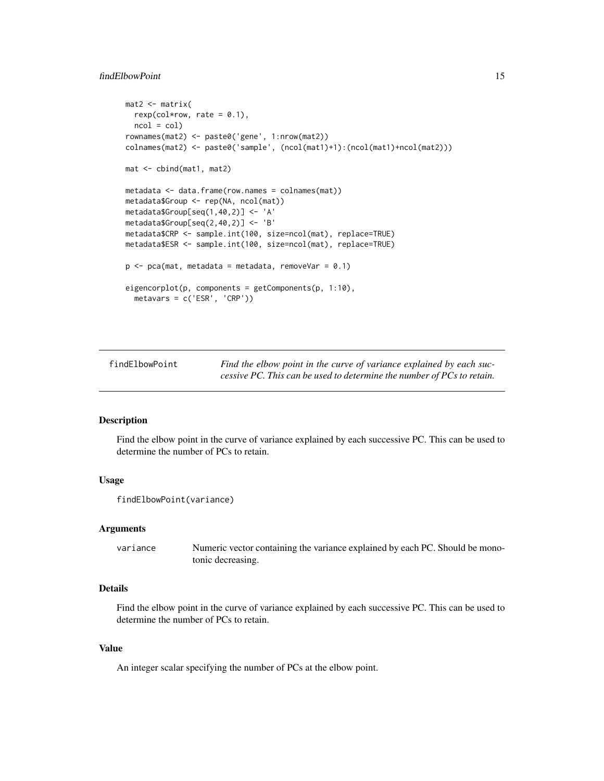# <span id="page-14-0"></span>findElbowPoint 15

```
mat2 < -matrixrexp(col*row, rate = 0.1),
 ncol = colrownames(mat2) <- paste0('gene', 1:nrow(mat2))
colnames(mat2) <- paste0('sample', (ncol(mat1)+1):(ncol(mat1)+ncol(mat2)))
mat <- cbind(mat1, mat2)
metadata <- data.frame(row.names = colnames(mat))
metadata$Group <- rep(NA, ncol(mat))
metadata$Group[seq(1,40,2)] <- 'A'
metadata$Group[seq(2,40,2)] <- 'B'
metadata$CRP <- sample.int(100, size=ncol(mat), replace=TRUE)
metadata$ESR <- sample.int(100, size=ncol(mat), replace=TRUE)
p \leq -pca(mat, metadata = metadata, removeVar = 0.1)eigencorplot(p, components = getComponents(p, 1:10),
  metavars = c('ESR', 'CRP'))
```
<span id="page-14-1"></span>findElbowPoint *Find the elbow point in the curve of variance explained by each successive PC. This can be used to determine the number of PCs to retain.*

#### **Description**

Find the elbow point in the curve of variance explained by each successive PC. This can be used to determine the number of PCs to retain.

# Usage

```
findElbowPoint(variance)
```
#### Arguments

variance Numeric vector containing the variance explained by each PC. Should be monotonic decreasing.

# Details

Find the elbow point in the curve of variance explained by each successive PC. This can be used to determine the number of PCs to retain.

#### Value

An integer scalar specifying the number of PCs at the elbow point.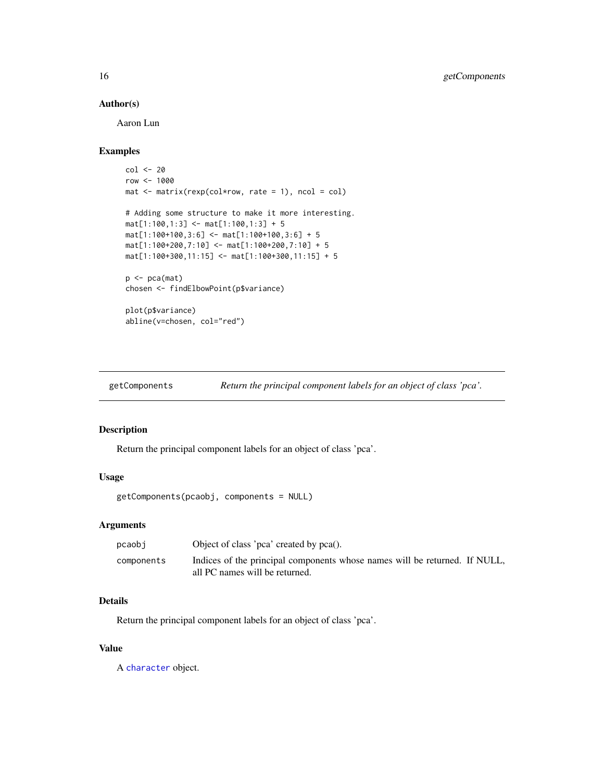# Author(s)

Aaron Lun

# Examples

```
col \leftarrow 20row <- 1000
mat < -matrix(rexp(col*row, rate = 1), ncol = col)# Adding some structure to make it more interesting.
mat[1:100,1:3] <- mat[1:100,1:3] + 5
mat[1:100+100,3:6] < -mat[1:100+100,3:6] + 5mat[1:100+200,7:10] <- mat[1:100+200,7:10] + 5
mat[1:100+300, 11:15] < - mat[1:100+300, 11:15] + 5p \leftarrow pca(mat)chosen <- findElbowPoint(p$variance)
plot(p$variance)
abline(v=chosen, col="red")
```
getComponents *Return the principal component labels for an object of class 'pca'.*

# Description

Return the principal component labels for an object of class 'pca'.

# Usage

```
getComponents(pcaobj, components = NULL)
```
#### Arguments

| pcaobi     | Object of class 'pca' created by pca().                                                                      |  |
|------------|--------------------------------------------------------------------------------------------------------------|--|
| components | Indices of the principal components whose names will be returned. If NULL,<br>all PC names will be returned. |  |

# Details

Return the principal component labels for an object of class 'pca'.

#### Value

A [character](#page-0-0) object.

<span id="page-15-0"></span>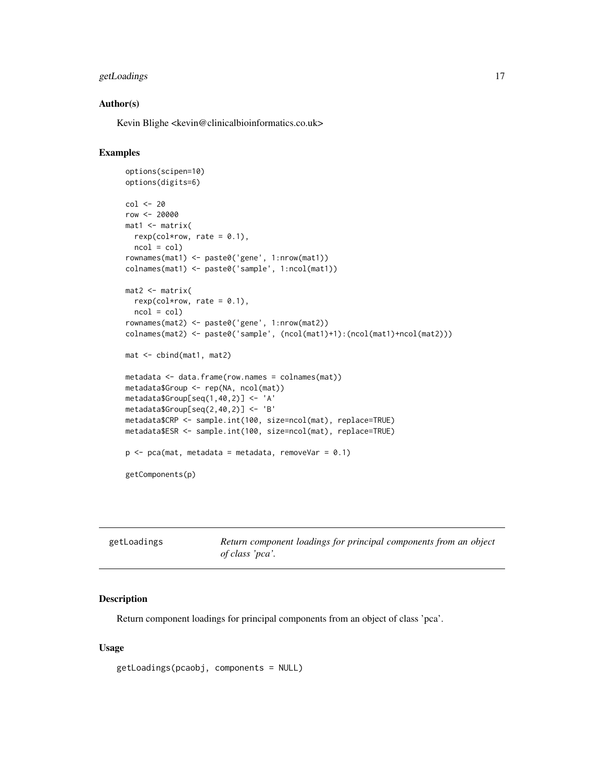# <span id="page-16-0"></span>getLoadings 17

### Author(s)

Kevin Blighe <kevin@clinicalbioinformatics.co.uk>

# Examples

```
options(scipen=10)
options(digits=6)
col <- 20
row <- 20000
mat1 <- matrix(
 rexp(col*row, rate = 0.1),
 ncol = colrownames(mat1) <- paste0('gene', 1:nrow(mat1))
colnames(mat1) <- paste0('sample', 1:ncol(mat1))
mat2 <- matrix(
 rexp(col*row, rate = 0.1),
 ncol = colrownames(mat2) <- paste0('gene', 1:nrow(mat2))
colnames(mat2) <- paste0('sample', (ncol(mat1)+1):(ncol(mat1)+ncol(mat2)))
mat <- cbind(mat1, mat2)
metadata <- data.frame(row.names = colnames(mat))
metadata$Group <- rep(NA, ncol(mat))
metadata$Group[seq(1,40,2)] <- 'A'
metadata$Group[seq(2,40,2)] <- 'B'
metadata$CRP <- sample.int(100, size=ncol(mat), replace=TRUE)
metadata$ESR <- sample.int(100, size=ncol(mat), replace=TRUE)
p \leq -pca(mat, metadata = metadata, removeVar = 0.1)getComponents(p)
```

| getLoadings | Return component loadings for principal components from an object |
|-------------|-------------------------------------------------------------------|
|             | of class 'pca'.                                                   |

#### Description

Return component loadings for principal components from an object of class 'pca'.

```
getLoadings(pcaobj, components = NULL)
```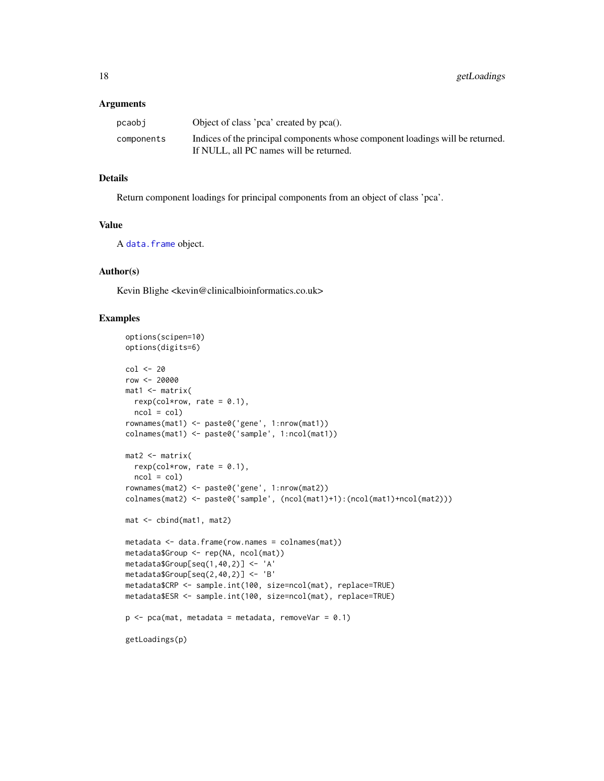#### <span id="page-17-0"></span>**Arguments**

| pcaobi     | Object of class 'pca' created by pca().                                                                                   |
|------------|---------------------------------------------------------------------------------------------------------------------------|
| components | Indices of the principal components whose component loadings will be returned.<br>If NULL, all PC names will be returned. |

# Details

Return component loadings for principal components from an object of class 'pca'.

#### Value

A [data.frame](#page-0-0) object.

# Author(s)

Kevin Blighe <kevin@clinicalbioinformatics.co.uk>

```
options(scipen=10)
options(digits=6)
col <- 20
row <- 20000
mat1 <- matrix(
 rexp(col*row, rate = 0.1),
 ncol = colrownames(mat1) <- paste0('gene', 1:nrow(mat1))
colnames(mat1) <- paste0('sample', 1:ncol(mat1))
mat2 < - matrix(rexp(col*row, rate = 0.1),
 ncol = colrownames(mat2) <- paste0('gene', 1:nrow(mat2))
colnames(mat2) <- paste0('sample', (ncol(mat1)+1):(ncol(mat1)+ncol(mat2)))
mat <- cbind(mat1, mat2)
metadata <- data.frame(row.names = colnames(mat))
metadata$Group <- rep(NA, ncol(mat))
metadata$Group[seq(1,40,2)] <- 'A'
metadata$Group[seq(2,40,2)] <- 'B'
metadata$CRP <- sample.int(100, size=ncol(mat), replace=TRUE)
metadata$ESR <- sample.int(100, size=ncol(mat), replace=TRUE)
p \leq -pca(mat, metadata = metadata, removeVar = 0.1)getLoadings(p)
```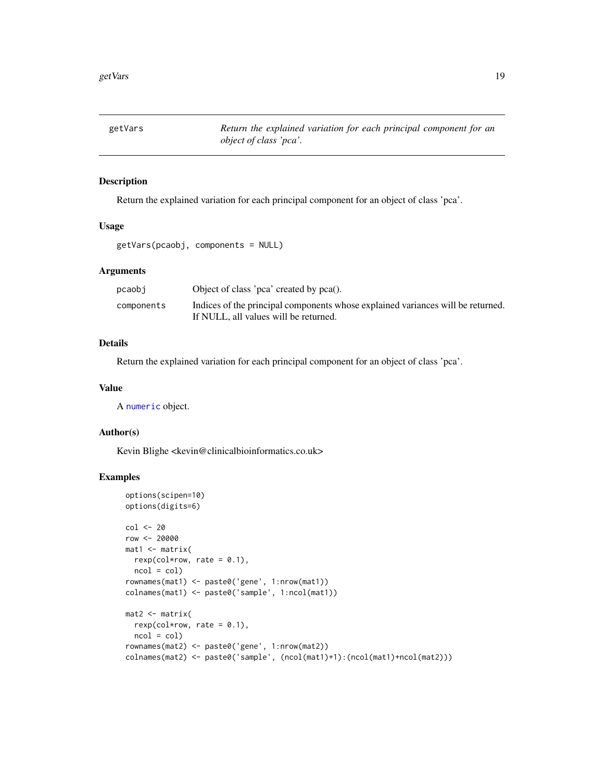<span id="page-18-0"></span>

# Description

Return the explained variation for each principal component for an object of class 'pca'.

# Usage

```
getVars(pcaobj, components = NULL)
```
# Arguments

| pcaobi     | Object of class 'pca' created by pca().                                                                                  |
|------------|--------------------------------------------------------------------------------------------------------------------------|
| components | Indices of the principal components whose explained variances will be returned.<br>If NULL, all values will be returned. |

# Details

Return the explained variation for each principal component for an object of class 'pca'.

#### Value

A [numeric](#page-0-0) object.

#### Author(s)

Kevin Blighe <kevin@clinicalbioinformatics.co.uk>

```
options(scipen=10)
options(digits=6)
col <- 20
row <- 20000
mat1 <- matrix(
 rexp(col*row, rate = 0.1),
 ncol = col)
rownames(mat1) <- paste0('gene', 1:nrow(mat1))
colnames(mat1) <- paste0('sample', 1:ncol(mat1))
mat2 <- matrix(
 rexp(col*row, rate = 0.1),
 ncol = colrownames(mat2) <- paste0('gene', 1:nrow(mat2))
colnames(mat2) <- paste0('sample', (ncol(mat1)+1):(ncol(mat1)+ncol(mat2)))
```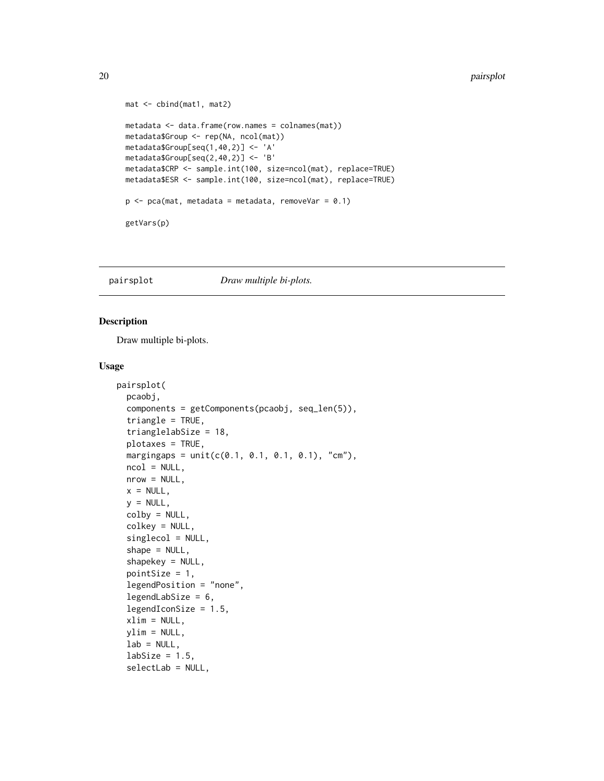#### <span id="page-19-0"></span>20 pairsplot

```
mat <- cbind(mat1, mat2)
metadata <- data.frame(row.names = colnames(mat))
metadata$Group <- rep(NA, ncol(mat))
metadata$Group[seq(1,40,2)] <- 'A'
metadata$Group[seq(2,40,2)] <- 'B'
metadata$CRP <- sample.int(100, size=ncol(mat), replace=TRUE)
metadata$ESR <- sample.int(100, size=ncol(mat), replace=TRUE)
p \leq -pca(mat, metadata = metadata, removeVar = 0.1)getVars(p)
```
pairsplot *Draw multiple bi-plots.*

# Description

Draw multiple bi-plots.

```
pairsplot(
  pcaobj,
  components = getComponents(pcaobj, seq_len(5)),
  triangle = TRUE,
  trianglelabSize = 18,
  plotaxes = TRUE,
  margingaps = unit(c(0.1, 0.1, 0.1, 0.1), 'c.m'),
 ncol = NULL,
  nrow = NULL,
  x = NULL,y = NULL,colby = NULL,
  colkey = NULL,
  singlecol = NULL,
  shape = NULL,shapekey = NULL,
  pointSize = 1,
  legendPosition = "none",
  legendLabSize = 6,
  legendIconSize = 1.5,
  xlim = NULL,ylim = NULL,
  lab = NULL,labSize = 1.5,
  selectLab = NULL,
```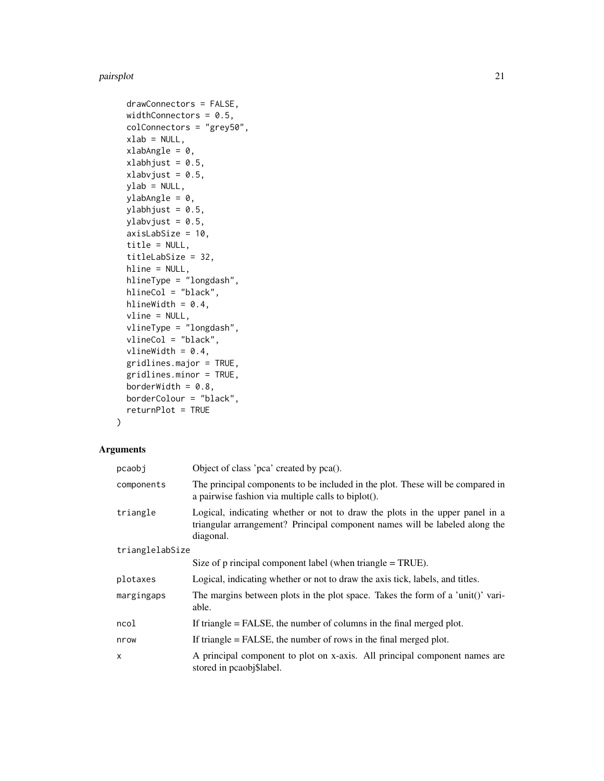#### pairsplot 21

```
drawConnectors = FALSE,
widthConnectors = 0.5,
colConnectors = "grey50",
xlab = NULL,xlabAngle = 0,
xlabhjust = 0.5,
xlabvjust = 0.5,
ylab = NULL,
ylabAngle = 0,
ylabhjust = 0.5,
ylabvjust = 0.5,
axisLabSize = 10,
title = NULL,
titleLabSize = 32,
hline = NULL,
hlineType = "longdash",
hlineCol = "black",
hlineWidth = 0.4,
vline = NULL,
vlineType = "longdash",
vlineCol = "black",
vlineWidth = 0.4,
gridlines.major = TRUE,
gridlines.minor = TRUE,
borderWidth = 0.8,
borderColour = "black",
returnPlot = TRUE
```
# $\mathcal{L}$

# Arguments

| Object of class 'pca' created by pca().                                                                                                                                  |  |  |
|--------------------------------------------------------------------------------------------------------------------------------------------------------------------------|--|--|
| The principal components to be included in the plot. These will be compared in<br>a pairwise fashion via multiple calls to biplot().                                     |  |  |
| Logical, indicating whether or not to draw the plots in the upper panel in a<br>triangular arrangement? Principal component names will be labeled along the<br>diagonal. |  |  |
| trianglelabSize                                                                                                                                                          |  |  |
| Size of $p$ rincipal component label (when triangle $=$ TRUE).                                                                                                           |  |  |
| Logical, indicating whether or not to draw the axis tick, labels, and titles.                                                                                            |  |  |
| The margins between plots in the plot space. Takes the form of a 'unit()' vari-<br>able.                                                                                 |  |  |
| If triangle $=$ FALSE, the number of columns in the final merged plot.                                                                                                   |  |  |
| If triangle $=$ FALSE, the number of rows in the final merged plot.                                                                                                      |  |  |
| A principal component to plot on x-axis. All principal component names are<br>stored in pcaobj\$label.                                                                   |  |  |
|                                                                                                                                                                          |  |  |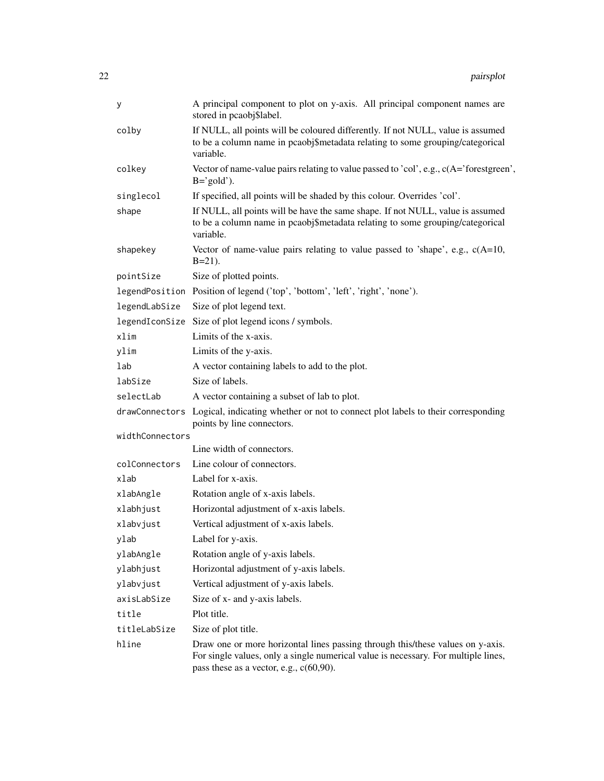| у               | A principal component to plot on y-axis. All principal component names are<br>stored in pcaobj\$label.                                                                                                             |  |
|-----------------|--------------------------------------------------------------------------------------------------------------------------------------------------------------------------------------------------------------------|--|
| colby           | If NULL, all points will be coloured differently. If not NULL, value is assumed<br>to be a column name in pcaobj\$metadata relating to some grouping/categorical<br>variable.                                      |  |
| colkey          | Vector of name-value pairs relating to value passed to 'col', e.g., $c(A=')$ forestgreen',<br>$B = 'gold'.$                                                                                                        |  |
| singlecol       | If specified, all points will be shaded by this colour. Overrides 'col'.                                                                                                                                           |  |
| shape           | If NULL, all points will be have the same shape. If not NULL, value is assumed<br>to be a column name in pcaobj\$metadata relating to some grouping/categorical<br>variable.                                       |  |
| shapekey        | Vector of name-value pairs relating to value passed to 'shape', e.g., $c(A=10,$<br>$B=21$ ).                                                                                                                       |  |
| pointSize       | Size of plotted points.                                                                                                                                                                                            |  |
|                 | legendPosition Position of legend ('top', 'bottom', 'left', 'right', 'none').                                                                                                                                      |  |
| legendLabSize   | Size of plot legend text.                                                                                                                                                                                          |  |
| legendIconSize  | Size of plot legend icons / symbols.                                                                                                                                                                               |  |
| xlim            | Limits of the x-axis.                                                                                                                                                                                              |  |
| ylim            | Limits of the y-axis.                                                                                                                                                                                              |  |
| lab             | A vector containing labels to add to the plot.                                                                                                                                                                     |  |
| labSize         | Size of labels.                                                                                                                                                                                                    |  |
| selectLab       | A vector containing a subset of lab to plot.                                                                                                                                                                       |  |
|                 | drawConnectors Logical, indicating whether or not to connect plot labels to their corresponding<br>points by line connectors.                                                                                      |  |
| widthConnectors |                                                                                                                                                                                                                    |  |
|                 | Line width of connectors.                                                                                                                                                                                          |  |
| colConnectors   | Line colour of connectors.                                                                                                                                                                                         |  |
| xlab            | Label for x-axis.                                                                                                                                                                                                  |  |
| xlabAngle       | Rotation angle of x-axis labels.                                                                                                                                                                                   |  |
| xlabhjust       | Horizontal adjustment of x-axis labels.                                                                                                                                                                            |  |
| xlabvjust       | Vertical adjustment of x-axis labels.                                                                                                                                                                              |  |
| ylab            | Label for y-axis.                                                                                                                                                                                                  |  |
| ylabAngle       | Rotation angle of y-axis labels.                                                                                                                                                                                   |  |
| ylabhjust       | Horizontal adjustment of y-axis labels.                                                                                                                                                                            |  |
| ylabvjust       | Vertical adjustment of y-axis labels.                                                                                                                                                                              |  |
| axisLabSize     | Size of x- and y-axis labels.                                                                                                                                                                                      |  |
| title           | Plot title.                                                                                                                                                                                                        |  |
| titleLabSize    | Size of plot title.                                                                                                                                                                                                |  |
| hline           | Draw one or more horizontal lines passing through this/these values on y-axis.<br>For single values, only a single numerical value is necessary. For multiple lines,<br>pass these as a vector, e.g., $c(60,90)$ . |  |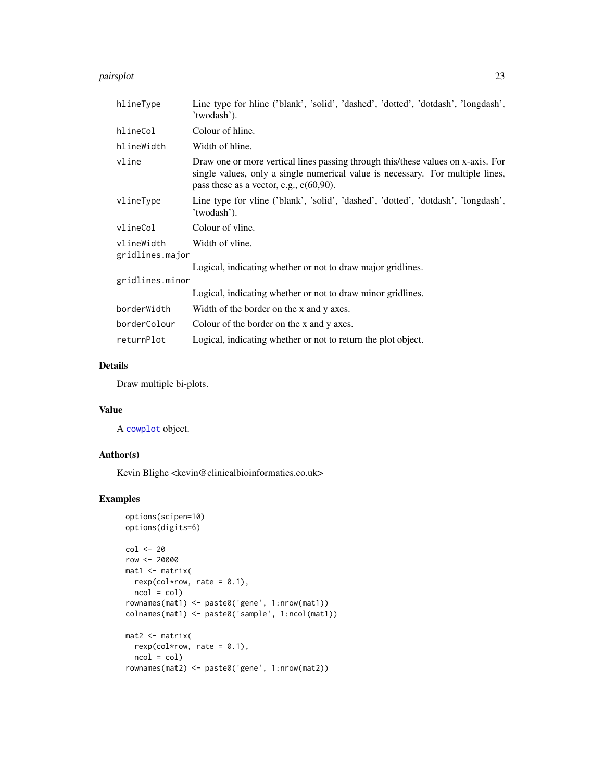#### <span id="page-22-0"></span>pairsplot that the contract of the contract of the contract of the contract of the contract of the contract of the contract of the contract of the contract of the contract of the contract of the contract of the contract of

| hlineType                     | Line type for hline ('blank', 'solid', 'dashed', 'dotted', 'dotdash', 'longdash',<br>'twodash').                                                                                                                 |  |
|-------------------------------|------------------------------------------------------------------------------------------------------------------------------------------------------------------------------------------------------------------|--|
| hlineCol                      | Colour of hline.                                                                                                                                                                                                 |  |
| hlineWidth                    | Width of hline.                                                                                                                                                                                                  |  |
| vline                         | Draw one or more vertical lines passing through this/these values on x-axis. For<br>single values, only a single numerical value is necessary. For multiple lines,<br>pass these as a vector, e.g., $c(60,90)$ . |  |
| vlineType                     | Line type for vline ('blank', 'solid', 'dashed', 'dotted', 'dotdash', 'longdash',<br>'twodash').                                                                                                                 |  |
| vlineCol                      | Colour of vline.                                                                                                                                                                                                 |  |
| vlineWidth<br>gridlines.major | Width of vline.                                                                                                                                                                                                  |  |
|                               | Logical, indicating whether or not to draw major gridlines.                                                                                                                                                      |  |
| gridlines.minor               |                                                                                                                                                                                                                  |  |
|                               | Logical, indicating whether or not to draw minor gridlines.                                                                                                                                                      |  |
| borderWidth                   | Width of the border on the x and y axes.                                                                                                                                                                         |  |
| borderColour                  | Colour of the border on the x and y axes.                                                                                                                                                                        |  |
| returnPlot                    | Logical, indicating whether or not to return the plot object.                                                                                                                                                    |  |

# Details

Draw multiple bi-plots.

# Value

A [cowplot](#page-0-0) object.

# Author(s)

Kevin Blighe <kevin@clinicalbioinformatics.co.uk>

```
options(scipen=10)
options(digits=6)
col <- 20
row <- 20000
mat1 <- matrix(
 rexp(col*row, rate = 0.1),
 ncol = colrownames(mat1) <- paste0('gene', 1:nrow(mat1))
colnames(mat1) <- paste0('sample', 1:ncol(mat1))
mat2 <- matrix(
 rexp(col*row, rate = 0.1),ncol = colrownames(mat2) <- paste0('gene', 1:nrow(mat2))
```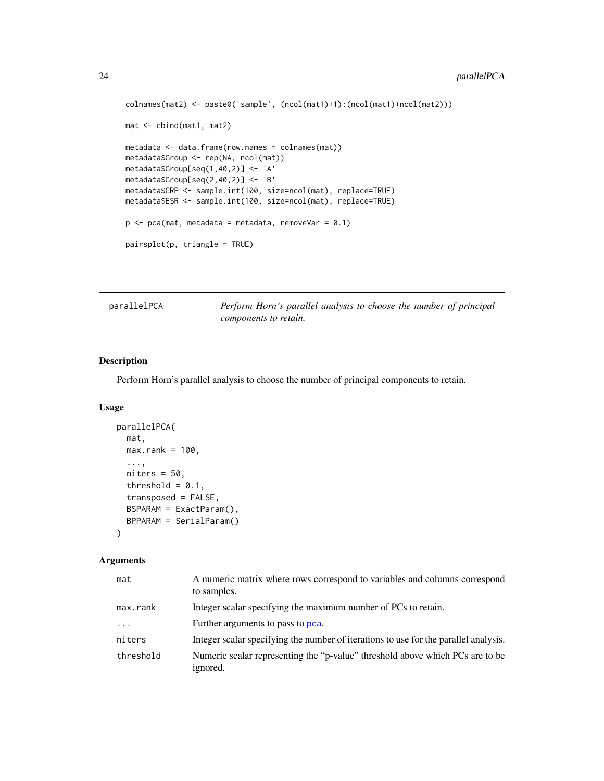```
colnames(mat2) <- paste0('sample', (ncol(mat1)+1):(ncol(mat1)+ncol(mat2)))
mat <- cbind(mat1, mat2)
metadata <- data.frame(row.names = colnames(mat))
metadata$Group <- rep(NA, ncol(mat))
metadata$Group[seq(1,40,2)] <- 'A'
metadata$Group[seq(2,40,2)] <- 'B'
metadata$CRP <- sample.int(100, size=ncol(mat), replace=TRUE)
metadata$ESR <- sample.int(100, size=ncol(mat), replace=TRUE)
p \leq -pca(mat, metadata = metadata, removeVar = 0.1)pairsplot(p, triangle = TRUE)
```
<span id="page-23-1"></span>parallelPCA *Perform Horn's parallel analysis to choose the number of principal components to retain.*

# Description

Perform Horn's parallel analysis to choose the number of principal components to retain.

# Usage

```
parallelPCA(
 mat,
 max.rank = 100,...,
 niters = 50,
  threshold = 0.1,
  transposed = FALSE,
  BSPARAM = ExactParam(),
 BPPARAM = SerialParam()
)
```
# Arguments

| mat       | A numeric matrix where rows correspond to variables and columns correspond<br>to samples. |
|-----------|-------------------------------------------------------------------------------------------|
| max.rank  | Integer scalar specifying the maximum number of PCs to retain.                            |
| $\cdot$   | Further arguments to pass to pca.                                                         |
| niters    | Integer scalar specifying the number of iterations to use for the parallel analysis.      |
| threshold | Numeric scalar representing the "p-value" threshold above which PCs are to be<br>ignored. |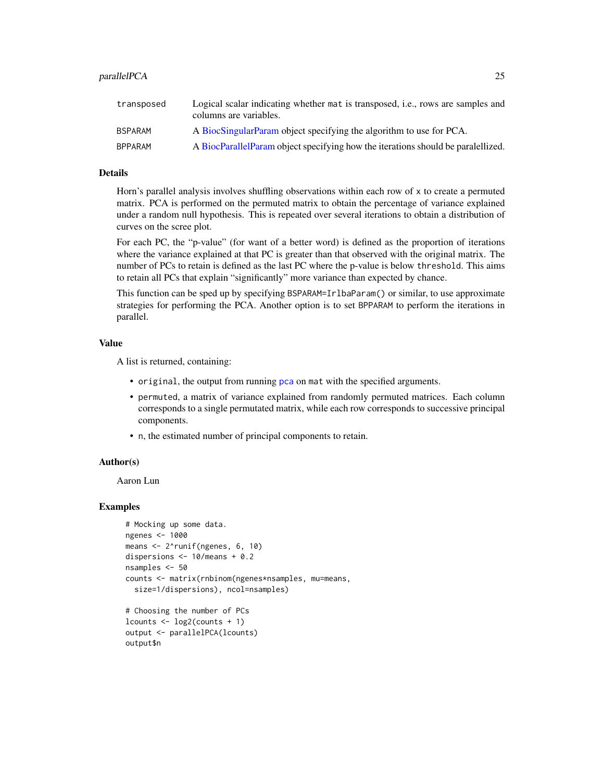#### <span id="page-24-0"></span>parallelPCA 25

| transposed     | Logical scalar indicating whether mat is transposed, i.e., rows are samples and<br>columns are variables. |
|----------------|-----------------------------------------------------------------------------------------------------------|
| <b>BSPARAM</b> | A BiocSingularParam object specifying the algorithm to use for PCA.                                       |
| <b>BPPARAM</b> | A BiocParallelParam object specifying how the iterations should be paralellized.                          |

# **Details**

Horn's parallel analysis involves shuffling observations within each row of x to create a permuted matrix. PCA is performed on the permuted matrix to obtain the percentage of variance explained under a random null hypothesis. This is repeated over several iterations to obtain a distribution of curves on the scree plot.

For each PC, the "p-value" (for want of a better word) is defined as the proportion of iterations where the variance explained at that PC is greater than that observed with the original matrix. The number of PCs to retain is defined as the last PC where the p-value is below threshold. This aims to retain all PCs that explain "significantly" more variance than expected by chance.

This function can be sped up by specifying BSPARAM=IrlbaParam() or similar, to use approximate strategies for performing the PCA. Another option is to set BPPARAM to perform the iterations in parallel.

#### Value

A list is returned, containing:

- original, the output from running [pca](#page-25-1) on mat with the specified arguments.
- permuted, a matrix of variance explained from randomly permuted matrices. Each column corresponds to a single permutated matrix, while each row corresponds to successive principal components.
- n, the estimated number of principal components to retain.

# Author(s)

Aaron Lun

output\$n

```
# Mocking up some data.
ngenes <- 1000
means <- 2^runif(ngenes, 6, 10)
dispersions <- 10/means + 0.2
nsamples <- 50
counts <- matrix(rnbinom(ngenes*nsamples, mu=means,
  size=1/dispersions), ncol=nsamples)
# Choosing the number of PCs
lcounts <- log2(counts + 1)
output <- parallelPCA(lcounts)
```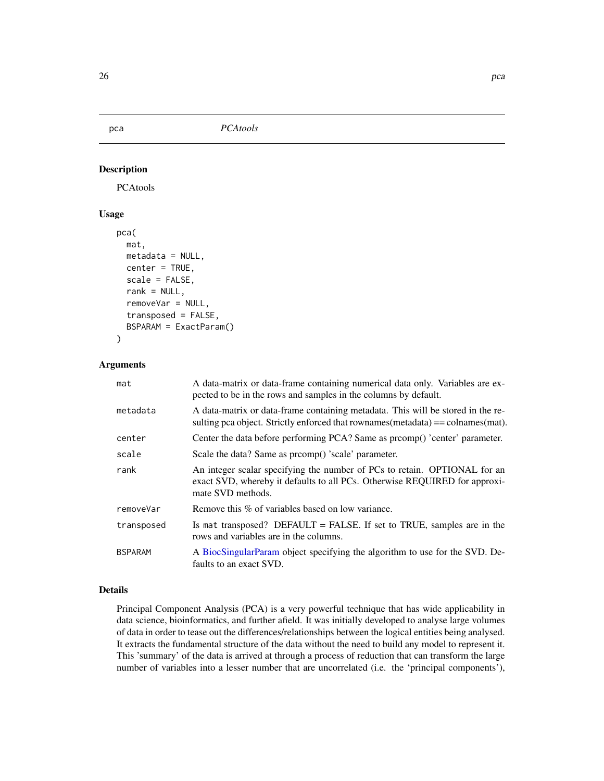<span id="page-25-1"></span><span id="page-25-0"></span>pca *PCAtools*

# Description

PCAtools

# Usage

```
pca(
  mat,
 metadata = NULL,
  center = TRUE,
  scale = FALSE,
  rank = NULL,removeVar = NULL,
  transposed = FALSE,
  BSPARAM = ExactParam()
)
```
# Arguments

| mat            | A data-matrix or data-frame containing numerical data only. Variables are ex-<br>pected to be in the rows and samples in the columns by default.                             |
|----------------|------------------------------------------------------------------------------------------------------------------------------------------------------------------------------|
| metadata       | A data-matrix or data-frame containing metadata. This will be stored in the re-<br>sulting pca object. Strictly enforced that rownames (metadata) $==$ colnames (mat).       |
| center         | Center the data before performing PCA? Same as promp() 'center' parameter.                                                                                                   |
| scale          | Scale the data? Same as proomp() 'scale' parameter.                                                                                                                          |
| rank           | An integer scalar specifying the number of PCs to retain. OPTIONAL for an<br>exact SVD, whereby it defaults to all PCs. Otherwise REQUIRED for approxi-<br>mate SVD methods. |
| removeVar      | Remove this % of variables based on low variance.                                                                                                                            |
| transposed     | Is mat transposed? DEFAULT = FALSE. If set to TRUE, samples are in the<br>rows and variables are in the columns.                                                             |
| <b>BSPARAM</b> | A BiocSingularParam object specifying the algorithm to use for the SVD. De-<br>faults to an exact SVD.                                                                       |

# Details

Principal Component Analysis (PCA) is a very powerful technique that has wide applicability in data science, bioinformatics, and further afield. It was initially developed to analyse large volumes of data in order to tease out the differences/relationships between the logical entities being analysed. It extracts the fundamental structure of the data without the need to build any model to represent it. This 'summary' of the data is arrived at through a process of reduction that can transform the large number of variables into a lesser number that are uncorrelated (i.e. the 'principal components'),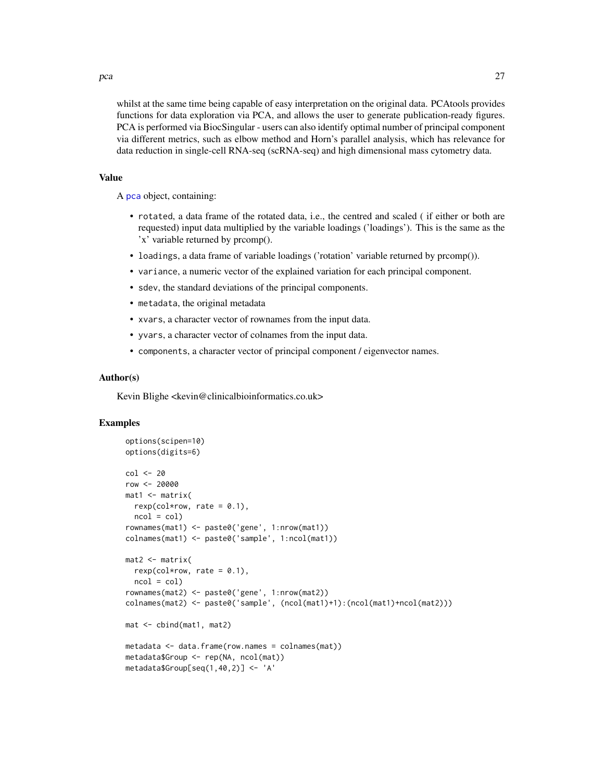whilst at the same time being capable of easy interpretation on the original data. PCAtools provides functions for data exploration via PCA, and allows the user to generate publication-ready figures. PCA is performed via BiocSingular - users can also identify optimal number of principal component via different metrics, such as elbow method and Horn's parallel analysis, which has relevance for data reduction in single-cell RNA-seq (scRNA-seq) and high dimensional mass cytometry data.

#### Value

A [pca](#page-25-1) object, containing:

- rotated, a data frame of the rotated data, i.e., the centred and scaled ( if either or both are requested) input data multiplied by the variable loadings ('loadings'). This is the same as the 'x' variable returned by prcomp().
- loadings, a data frame of variable loadings ('rotation' variable returned by prcomp()).
- variance, a numeric vector of the explained variation for each principal component.
- sdev, the standard deviations of the principal components.
- metadata, the original metadata
- xvars, a character vector of rownames from the input data.
- yvars, a character vector of colnames from the input data.
- components, a character vector of principal component / eigenvector names.

#### Author(s)

Kevin Blighe <kevin@clinicalbioinformatics.co.uk>

# Examples

```
options(scipen=10)
options(digits=6)
col <- 20
row <- 20000
mat1 <- matrix(
 rexp(col*row, rate = 0.1),
 ncol = colrownames(mat1) <- paste0('gene', 1:nrow(mat1))
colnames(mat1) <- paste0('sample', 1:ncol(mat1))
mat2 < - matrix(rexp(col*row, rate = 0.1),
 ncol = colrownames(mat2) <- paste0('gene', 1:nrow(mat2))
colnames(mat2) <- paste0('sample', (ncol(mat1)+1):(ncol(mat1)+ncol(mat2)))
mat <- cbind(mat1, mat2)
metadata <- data.frame(row.names = colnames(mat))
metadata$Group <- rep(NA, ncol(mat))
metadata$Group[seq(1,40,2)] <- 'A'
```
<span id="page-26-0"></span>pca 27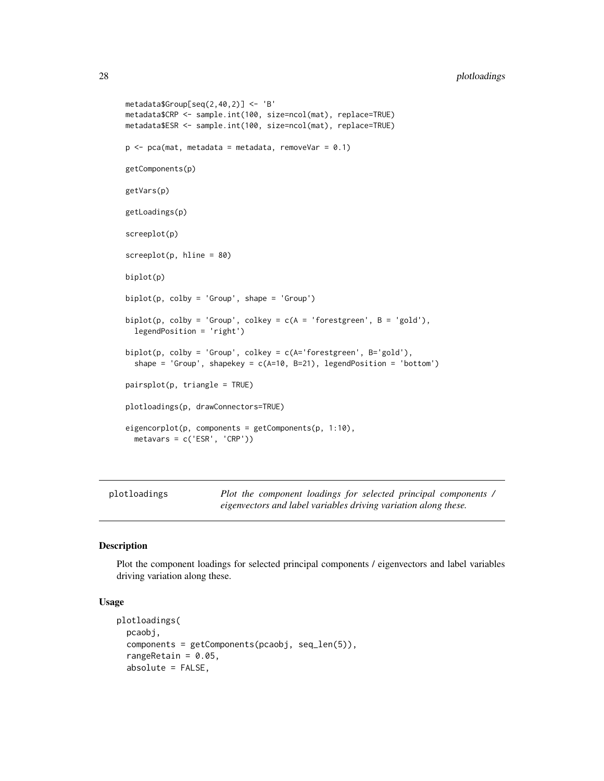```
metadata$Group[seq(2,40,2)] <- 'B'
metadata$CRP <- sample.int(100, size=ncol(mat), replace=TRUE)
metadata$ESR <- sample.int(100, size=ncol(mat), replace=TRUE)
p \le -pca(mat, metadata = metadata, removeVar = 0.1)getComponents(p)
getVars(p)
getLoadings(p)
screeplot(p)
screeplot(p, hline = 80)
biplot(p)
biplot(p, colby = 'Group', shape = 'Group')
biplot(p, colby = 'Group', colkey = c(A = 'forestgreen', B = 'gold'),legendPosition = 'right')
biplot(p, colby = 'Group', colkey = c(A='forestgreen', B='gold'),
  shape = 'Group', shapekey = c(A=10, B=21), legendPosition = 'bottom')
pairsplot(p, triangle = TRUE)
plotloadings(p, drawConnectors=TRUE)
eigencorplot(p, components = getComponents(p, 1:10),
 metavars = c('ESR', 'CRP'))
```
plotloadings *Plot the component loadings for selected principal components / eigenvectors and label variables driving variation along these.*

# Description

Plot the component loadings for selected principal components / eigenvectors and label variables driving variation along these.

```
plotloadings(
  pcaobj,
  components = getComponents(pcaobj, seq_len(5)),
  rangeRetain = 0.05,
  absolute = FALSE,
```
<span id="page-27-0"></span>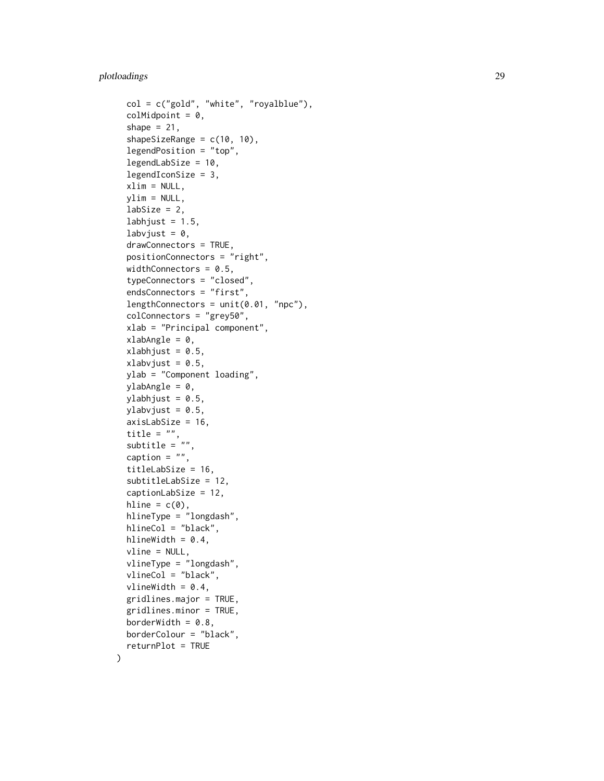# plotloadings 29

 $\mathcal{L}$ 

```
col = c("gold", "white", "royalblue"),
colMidpoint = 0,shape = 21,
shapeSizeRange = c(10, 10),
legendPosition = "top",
legendLabSize = 10,
legendIconSize = 3,
xlim = NULL,ylim = NULL,
labSize = 2,
labhjust = 1.5,
labvjust = 0,
drawConnectors = TRUE,
positionConnectors = "right",
widthConnectors = 0.5,
typeConnectors = "closed",
endsConnectors = "first",
lengthConnectors = unit(0.01, "npc"),colConnectors = "grey50",
xlab = "Principal component",
xlabAngle = 0,
xlabhjust = 0.5,
xlabvjust = 0.5,
ylab = "Component loading",
ylabAngle = 0,
ylabhjust = 0.5,
ylabvjust = 0.5,
axisLabSize = 16,
title = ",
subtitle = ",
caption = ",
titleLabSize = 16,
subtitleLabSize = 12,
captionLabSize = 12,
hline = c(\emptyset),
hlineType = "longdash",
hlineCol = "black",
hlineWidth = 0.4,
vline = NULL,
vlineType = "longdash",
vlineCol = "black",
vlineWidth = 0.4,
gridlines.major = TRUE,
gridlines.minor = TRUE,
borderWidth = 0.8,
borderColour = "black",
returnPlot = TRUE
```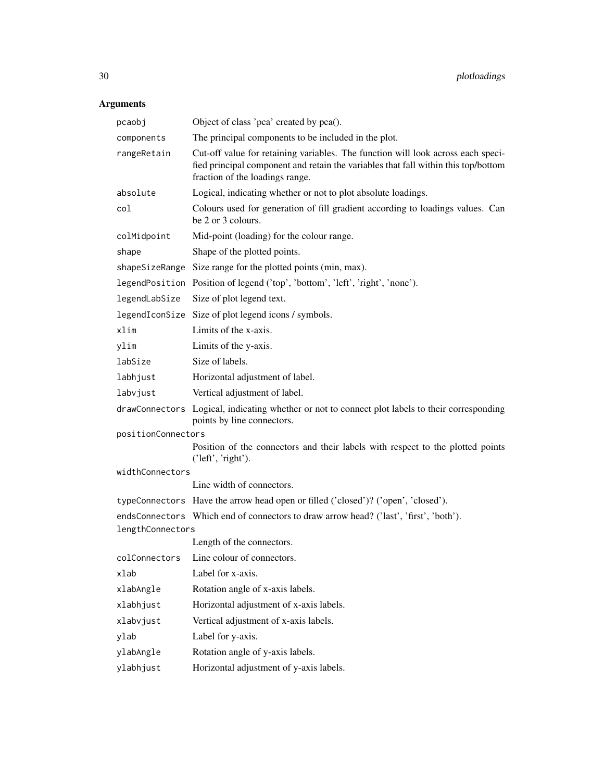# Arguments

| pcaobj                                                                                | Object of class 'pca' created by pca().                                                                                                                                                                   |  |
|---------------------------------------------------------------------------------------|-----------------------------------------------------------------------------------------------------------------------------------------------------------------------------------------------------------|--|
| components                                                                            | The principal components to be included in the plot.                                                                                                                                                      |  |
| rangeRetain                                                                           | Cut-off value for retaining variables. The function will look across each speci-<br>fied principal component and retain the variables that fall within this top/bottom<br>fraction of the loadings range. |  |
| absolute                                                                              | Logical, indicating whether or not to plot absolute loadings.                                                                                                                                             |  |
| col                                                                                   | Colours used for generation of fill gradient according to loadings values. Can<br>be 2 or 3 colours.                                                                                                      |  |
| colMidpoint                                                                           | Mid-point (loading) for the colour range.                                                                                                                                                                 |  |
| shape                                                                                 | Shape of the plotted points.                                                                                                                                                                              |  |
|                                                                                       | shapeSizeRange Size range for the plotted points (min, max).                                                                                                                                              |  |
|                                                                                       | legendPosition Position of legend ('top', 'bottom', 'left', 'right', 'none').                                                                                                                             |  |
| legendLabSize                                                                         | Size of plot legend text.                                                                                                                                                                                 |  |
|                                                                                       | legendIconSize Size of plot legend icons / symbols.                                                                                                                                                       |  |
| xlim                                                                                  | Limits of the x-axis.                                                                                                                                                                                     |  |
| ylim                                                                                  | Limits of the y-axis.                                                                                                                                                                                     |  |
| labSize                                                                               | Size of labels.                                                                                                                                                                                           |  |
| labhjust                                                                              | Horizontal adjustment of label.                                                                                                                                                                           |  |
| labvjust                                                                              | Vertical adjustment of label.                                                                                                                                                                             |  |
|                                                                                       | drawConnectors Logical, indicating whether or not to connect plot labels to their corresponding<br>points by line connectors.                                                                             |  |
| positionConnectors                                                                    |                                                                                                                                                                                                           |  |
|                                                                                       | Position of the connectors and their labels with respect to the plotted points<br>('left', 'right').                                                                                                      |  |
| widthConnectors                                                                       |                                                                                                                                                                                                           |  |
|                                                                                       | Line width of connectors.                                                                                                                                                                                 |  |
|                                                                                       | typeConnectors Have the arrow head open or filled ('closed')? ('open', 'closed').                                                                                                                         |  |
| endsConnectors Which end of connectors to draw arrow head? ('last', 'first', 'both'). |                                                                                                                                                                                                           |  |
| lengthConnectors                                                                      | Length of the connectors.                                                                                                                                                                                 |  |
|                                                                                       | colConnectors Line colour of connectors.                                                                                                                                                                  |  |
| xlab                                                                                  | Label for x-axis.                                                                                                                                                                                         |  |
| xlabAngle                                                                             | Rotation angle of x-axis labels.                                                                                                                                                                          |  |
| xlabhjust                                                                             | Horizontal adjustment of x-axis labels.                                                                                                                                                                   |  |
| xlabvjust                                                                             | Vertical adjustment of x-axis labels.                                                                                                                                                                     |  |
| ylab                                                                                  | Label for y-axis.                                                                                                                                                                                         |  |
| ylabAngle                                                                             | Rotation angle of y-axis labels.                                                                                                                                                                          |  |
| ylabhjust                                                                             | Horizontal adjustment of y-axis labels.                                                                                                                                                                   |  |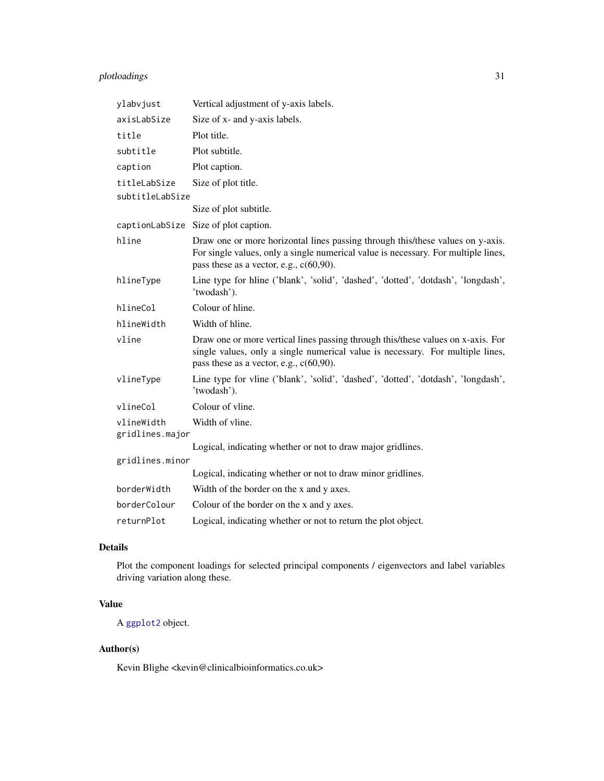# <span id="page-30-0"></span>plotloadings 31

| ylabvjust                     | Vertical adjustment of y-axis labels.                                                                                                                                                                              |
|-------------------------------|--------------------------------------------------------------------------------------------------------------------------------------------------------------------------------------------------------------------|
| axisLabSize                   | Size of x- and y-axis labels.                                                                                                                                                                                      |
| title                         | Plot title.                                                                                                                                                                                                        |
| subtitle                      | Plot subtitle.                                                                                                                                                                                                     |
| caption                       | Plot caption.                                                                                                                                                                                                      |
| titleLabSize                  | Size of plot title.                                                                                                                                                                                                |
| subtitleLabSize               |                                                                                                                                                                                                                    |
|                               | Size of plot subtitle.                                                                                                                                                                                             |
|                               | captionLabSize Size of plot caption.                                                                                                                                                                               |
| hline                         | Draw one or more horizontal lines passing through this/these values on y-axis.<br>For single values, only a single numerical value is necessary. For multiple lines,<br>pass these as a vector, e.g., $c(60,90)$ . |
| hlineType                     | Line type for hline ('blank', 'solid', 'dashed', 'dotted', 'dotdash', 'longdash',<br>'twodash').                                                                                                                   |
| hlineCol                      | Colour of hline.                                                                                                                                                                                                   |
| hlineWidth                    | Width of hline.                                                                                                                                                                                                    |
| vline                         | Draw one or more vertical lines passing through this/these values on x-axis. For<br>single values, only a single numerical value is necessary. For multiple lines,<br>pass these as a vector, e.g., $c(60,90)$ .   |
| vlineType                     | Line type for vline ('blank', 'solid', 'dashed', 'dotted', 'dotdash', 'longdash',<br>'twodash').                                                                                                                   |
| vlineCol                      | Colour of vline.                                                                                                                                                                                                   |
| vlineWidth<br>gridlines.major | Width of vline.                                                                                                                                                                                                    |
|                               | Logical, indicating whether or not to draw major gridlines.                                                                                                                                                        |
| gridlines.minor               |                                                                                                                                                                                                                    |
|                               | Logical, indicating whether or not to draw minor gridlines.                                                                                                                                                        |
| borderWidth                   | Width of the border on the x and y axes.                                                                                                                                                                           |
| borderColour                  | Colour of the border on the x and y axes.                                                                                                                                                                          |
| returnPlot                    | Logical, indicating whether or not to return the plot object.                                                                                                                                                      |

# Details

Plot the component loadings for selected principal components / eigenvectors and label variables driving variation along these.

# Value

A [ggplot2](#page-0-0) object.

# Author(s)

Kevin Blighe <kevin@clinicalbioinformatics.co.uk>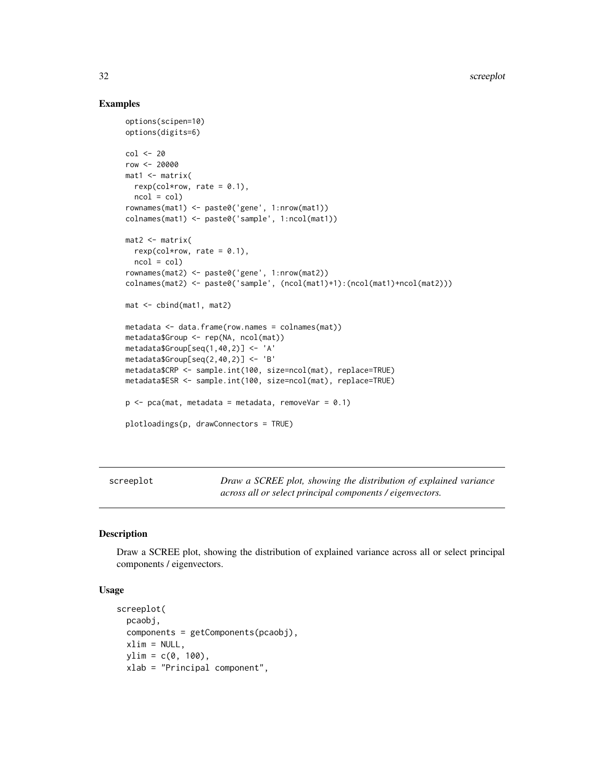# Examples

```
options(scipen=10)
options(digits=6)
col < -20row <- 20000
mat1 <- matrix(
 rexp(col*row, rate = 0.1),
 ncol = colrownames(mat1) <- paste0('gene', 1:nrow(mat1))
colnames(mat1) <- paste0('sample', 1:ncol(mat1))
mat2 <- matrix(
 rexp(col*row, rate = 0.1),
 ncol = colrownames(mat2) <- paste0('gene', 1:nrow(mat2))
colnames(mat2) <- paste0('sample', (ncol(mat1)+1):(ncol(mat1)+ncol(mat2)))
mat <- cbind(mat1, mat2)
metadata <- data.frame(row.names = colnames(mat))
metadata$Group <- rep(NA, ncol(mat))
metadata$Group[seq(1,40,2)] <- 'A'
metadata$Group[seq(2,40,2)] <- 'B'
metadata$CRP <- sample.int(100, size=ncol(mat), replace=TRUE)
metadata$ESR <- sample.int(100, size=ncol(mat), replace=TRUE)
p \le -pca(mat, metadata = metadata, removeVar = 0.1)plotloadings(p, drawConnectors = TRUE)
```
screeplot *Draw a SCREE plot, showing the distribution of explained variance across all or select principal components / eigenvectors.*

# Description

Draw a SCREE plot, showing the distribution of explained variance across all or select principal components / eigenvectors.

```
screeplot(
 pcaobj,
 components = getComponents(pcaobj),
 xlim = NULL,ylim = c(0, 100),
 xlab = "Principal component",
```
<span id="page-31-0"></span>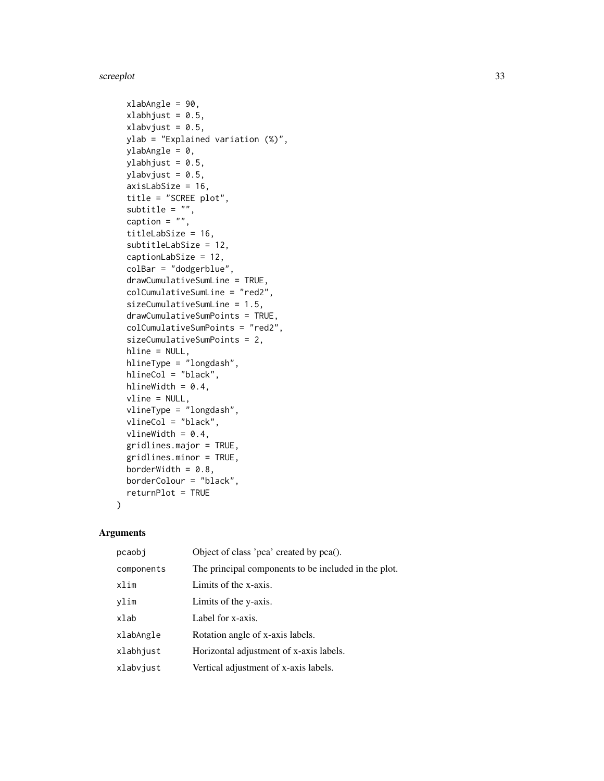#### screeplot 33

```
xlabAngle = 90,
xlabhjust = 0.5,
xlabvjust = 0.5,
ylab = "Explained variation (%)",
ylabAngle = 0,
ylabhjust = 0.5,
ylabvjust = 0.5,
axisLabSize = 16,
title = "SCREE plot",
subtitle = ",
caption = ",
titleLabSize = 16,
subtitleLabSize = 12,
captionLabSize = 12,
colBar = "dodgerblue",
drawCumulativeSumLine = TRUE,
colCumulativeSumLine = "red2",
sizeCumulativeSumLine = 1.5,
drawCumulativeSumPoints = TRUE,
colCumulativeSumPoints = "red2",
sizeCumulativeSumPoints = 2,
hline = NULL,
hlineType = "longdash",
hlineCol = "black",
hlineWidth = 0.4,
vline = NULL,
vlineType = "longdash",
vlineCol = "black",
vlineWidth = 0.4,
gridlines.major = TRUE,
gridlines.minor = TRUE,
borderWidth = 0.8,
borderColour = "black",
returnPlot = TRUE
```
# Arguments

)

| pcaobi     | Object of class 'pca' created by pca().              |
|------------|------------------------------------------------------|
| components | The principal components to be included in the plot. |
| xlim       | Limits of the x-axis.                                |
| ylim       | Limits of the y-axis.                                |
| xlab       | Label for x-axis.                                    |
| xlabAngle  | Rotation angle of x-axis labels.                     |
| xlabhjust  | Horizontal adjustment of x-axis labels.              |
| xlabvjust  | Vertical adjustment of x-axis labels.                |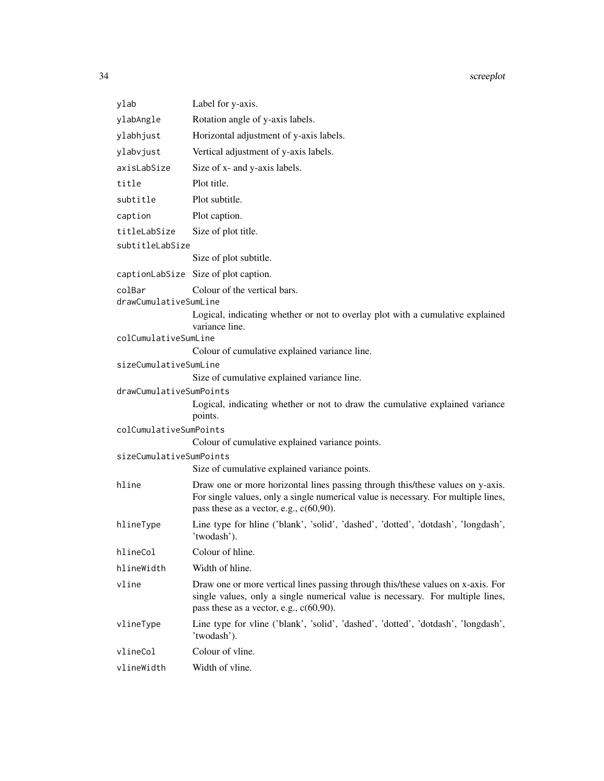| ylab                    | Label for y-axis.                                                                                                                                                                                                  |  |
|-------------------------|--------------------------------------------------------------------------------------------------------------------------------------------------------------------------------------------------------------------|--|
| ylabAngle               | Rotation angle of y-axis labels.                                                                                                                                                                                   |  |
| ylabhjust               | Horizontal adjustment of y-axis labels.                                                                                                                                                                            |  |
| ylabvjust               | Vertical adjustment of y-axis labels.                                                                                                                                                                              |  |
| axisLabSize             | Size of x- and y-axis labels.                                                                                                                                                                                      |  |
| title                   | Plot title.                                                                                                                                                                                                        |  |
| subtitle                | Plot subtitle.                                                                                                                                                                                                     |  |
| caption                 | Plot caption.                                                                                                                                                                                                      |  |
| titleLabSize            |                                                                                                                                                                                                                    |  |
| subtitleLabSize         | Size of plot title.                                                                                                                                                                                                |  |
|                         | Size of plot subtitle.                                                                                                                                                                                             |  |
|                         | captionLabSize Size of plot caption.                                                                                                                                                                               |  |
| colBar                  | Colour of the vertical bars.                                                                                                                                                                                       |  |
| drawCumulativeSumLine   |                                                                                                                                                                                                                    |  |
|                         | Logical, indicating whether or not to overlay plot with a cumulative explained<br>variance line.                                                                                                                   |  |
| colCumulativeSumLine    |                                                                                                                                                                                                                    |  |
|                         | Colour of cumulative explained variance line.                                                                                                                                                                      |  |
| sizeCumulativeSumLine   |                                                                                                                                                                                                                    |  |
|                         | Size of cumulative explained variance line.                                                                                                                                                                        |  |
| drawCumulativeSumPoints | Logical, indicating whether or not to draw the cumulative explained variance<br>points.                                                                                                                            |  |
| colCumulativeSumPoints  |                                                                                                                                                                                                                    |  |
|                         | Colour of cumulative explained variance points.                                                                                                                                                                    |  |
| sizeCumulativeSumPoints |                                                                                                                                                                                                                    |  |
|                         | Size of cumulative explained variance points.                                                                                                                                                                      |  |
| hline                   | Draw one or more horizontal lines passing through this/these values on y-axis.<br>For single values, only a single numerical value is necessary. For multiple lines,<br>pass these as a vector, e.g., $c(60,90)$ . |  |
| hlineType               | Line type for hline ('blank', 'solid', 'dashed', 'dotted', 'dotdash', 'longdash',<br>'twodash').                                                                                                                   |  |
| hlineCol                | Colour of hline.                                                                                                                                                                                                   |  |
| hlineWidth              | Width of hline.                                                                                                                                                                                                    |  |
| vline                   | Draw one or more vertical lines passing through this/these values on x-axis. For<br>single values, only a single numerical value is necessary. For multiple lines,<br>pass these as a vector, e.g., $c(60,90)$ .   |  |
| vlineType               | Line type for vline ('blank', 'solid', 'dashed', 'dotted', 'dotdash', 'longdash',<br>'twodash').                                                                                                                   |  |
| vlineCol                | Colour of vline.                                                                                                                                                                                                   |  |
| vlineWidth              | Width of vline.                                                                                                                                                                                                    |  |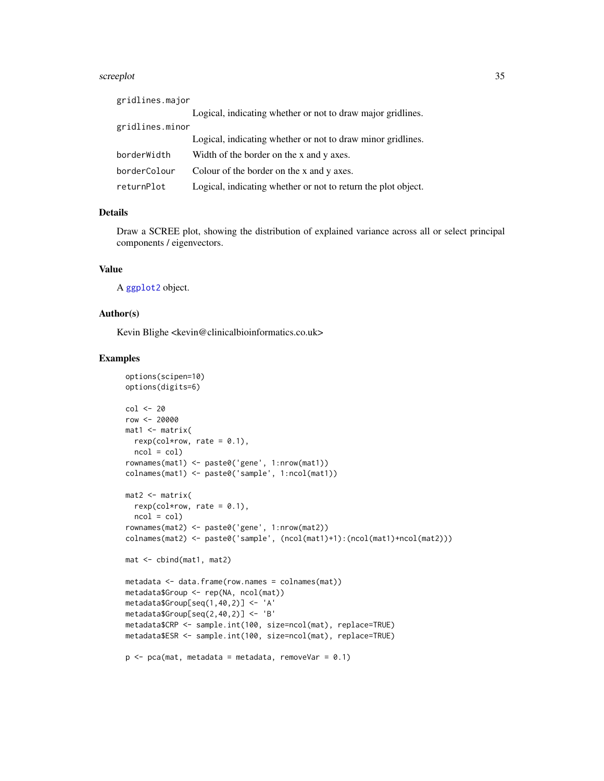#### <span id="page-34-0"></span>screeplot 35

| gridlines.major |                                                               |  |
|-----------------|---------------------------------------------------------------|--|
|                 | Logical, indicating whether or not to draw major gridlines.   |  |
| gridlines.minor |                                                               |  |
|                 | Logical, indicating whether or not to draw minor gridlines.   |  |
| borderWidth     | Width of the border on the x and y axes.                      |  |
| borderColour    | Colour of the border on the x and y axes.                     |  |
| returnPlot      | Logical, indicating whether or not to return the plot object. |  |

# Details

Draw a SCREE plot, showing the distribution of explained variance across all or select principal components / eigenvectors.

### Value

A [ggplot2](#page-0-0) object.

# Author(s)

Kevin Blighe <kevin@clinicalbioinformatics.co.uk>

```
options(scipen=10)
options(digits=6)
col < -20row <- 20000
mat1 <- matrix(
 rexp(col*row, rate = 0.1),
 ncol = colrownames(mat1) <- paste0('gene', 1:nrow(mat1))
colnames(mat1) <- paste0('sample', 1:ncol(mat1))
mat2 < -matrixrexp(col*row, rate = 0.1),
 ncol = colrownames(mat2) <- paste0('gene', 1:nrow(mat2))
colnames(mat2) <- paste0('sample', (ncol(mat1)+1):(ncol(mat1)+ncol(mat2)))
mat <- cbind(mat1, mat2)
metadata <- data.frame(row.names = colnames(mat))
metadata$Group <- rep(NA, ncol(mat))
metadata$Group[seq(1,40,2)] <- 'A'
metadata$Group[seq(2,40,2)] <- 'B'
metadata$CRP <- sample.int(100, size=ncol(mat), replace=TRUE)
metadata$ESR <- sample.int(100, size=ncol(mat), replace=TRUE)
p \leq -pca(mat, metadata = metadata, removeVar = 0.1)
```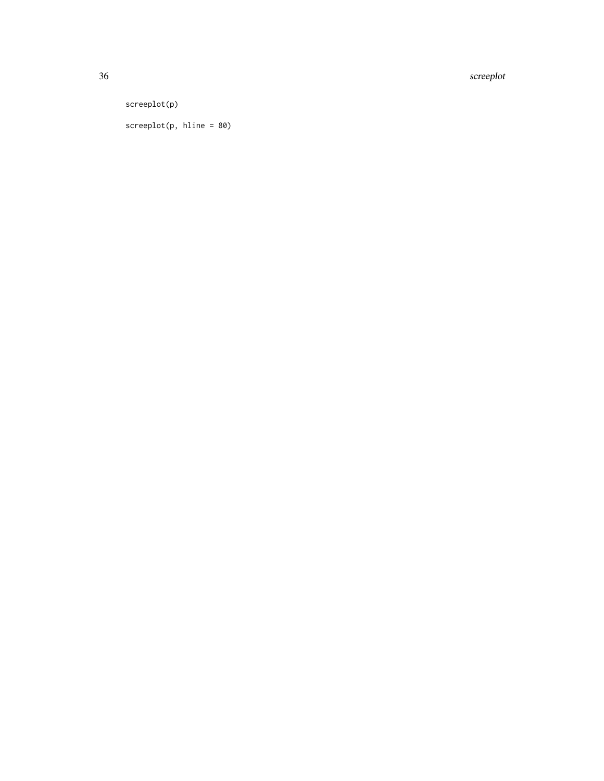36 screeplot

screeplot(p)

screeplot(p, hline = 80)